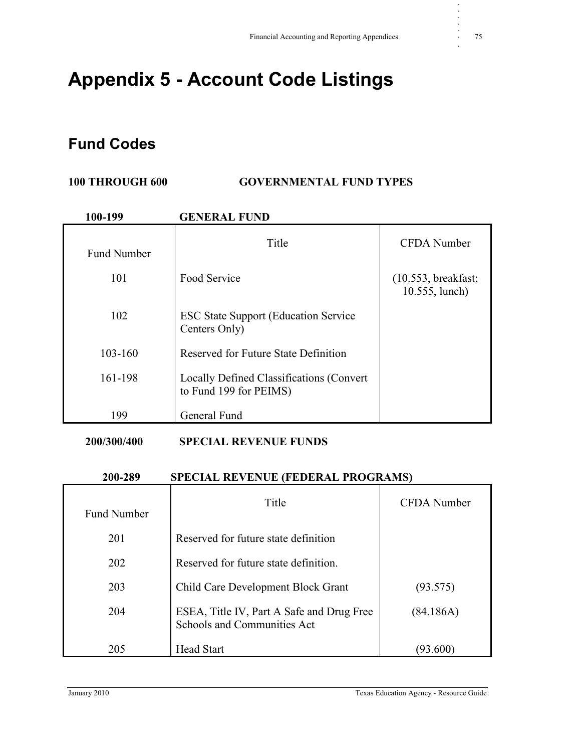# **Appendix 5 - Account Code Listings**

### **Fund Codes**

#### **100 THROUGH 600 GOVERNMENTAL FUND TYPES**

| 100-199            | <b>GENERAL FUND</b>                                                |                                       |
|--------------------|--------------------------------------------------------------------|---------------------------------------|
| <b>Fund Number</b> | Title                                                              | <b>CFDA</b> Number                    |
| 101                | Food Service                                                       | (10.553, breakfast;<br>10.555, lunch) |
| 102                | <b>ESC State Support (Education Service)</b><br>Centers Only)      |                                       |
| $103 - 160$        | Reserved for Future State Definition                               |                                       |
| 161-198            | Locally Defined Classifications (Convert<br>to Fund 199 for PEIMS) |                                       |
| 199                | General Fund                                                       |                                       |

#### **200/300/400 SPECIAL REVENUE FUNDS**

#### **200-289 SPECIAL REVENUE (FEDERAL PROGRAMS)**

| <b>Fund Number</b> | Title                                                                    | CFDA Number |
|--------------------|--------------------------------------------------------------------------|-------------|
| 201                | Reserved for future state definition                                     |             |
| 202                | Reserved for future state definition.                                    |             |
| 203                | Child Care Development Block Grant                                       | (93.575)    |
| 204                | ESEA, Title IV, Part A Safe and Drug Free<br>Schools and Communities Act | (84.186A)   |
| 205                | <b>Head Start</b>                                                        | 93.600      |

**. . . . .**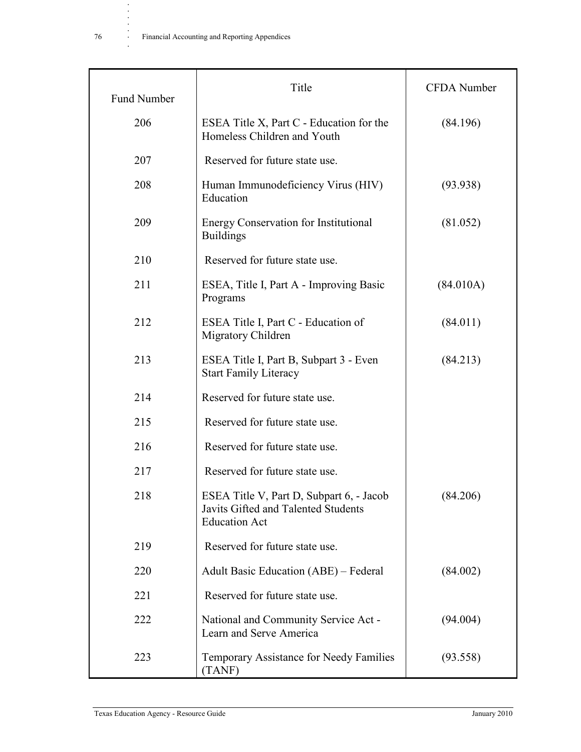| <b>Fund Number</b> | Title                                                                                                   | <b>CFDA</b> Number |
|--------------------|---------------------------------------------------------------------------------------------------------|--------------------|
| 206                | ESEA Title X, Part C - Education for the<br>Homeless Children and Youth                                 | (84.196)           |
| 207                | Reserved for future state use.                                                                          |                    |
| 208                | Human Immunodeficiency Virus (HIV)<br>Education                                                         | (93.938)           |
| 209                | <b>Energy Conservation for Institutional</b><br><b>Buildings</b>                                        | (81.052)           |
| 210                | Reserved for future state use.                                                                          |                    |
| 211                | ESEA, Title I, Part A - Improving Basic<br>Programs                                                     | (84.010A)          |
| 212                | ESEA Title I, Part C - Education of<br>Migratory Children                                               | (84.011)           |
| 213                | ESEA Title I, Part B, Subpart 3 - Even<br><b>Start Family Literacy</b>                                  | (84.213)           |
| 214                | Reserved for future state use.                                                                          |                    |
| 215                | Reserved for future state use.                                                                          |                    |
| 216                | Reserved for future state use.                                                                          |                    |
| 217                | Reserved for future state use.                                                                          |                    |
| 218                | ESEA Title V, Part D, Subpart 6, - Jacob<br>Javits Gifted and Talented Students<br><b>Education Act</b> | (84.206)           |
| 219                | Reserved for future state use.                                                                          |                    |
| 220                | <b>Adult Basic Education (ABE)</b> – Federal                                                            | (84.002)           |
| 221                | Reserved for future state use.                                                                          |                    |
| 222                | National and Community Service Act -<br>Learn and Serve America                                         | (94.004)           |
| 223                | Temporary Assistance for Needy Families<br>(TANF)                                                       | (93.558)           |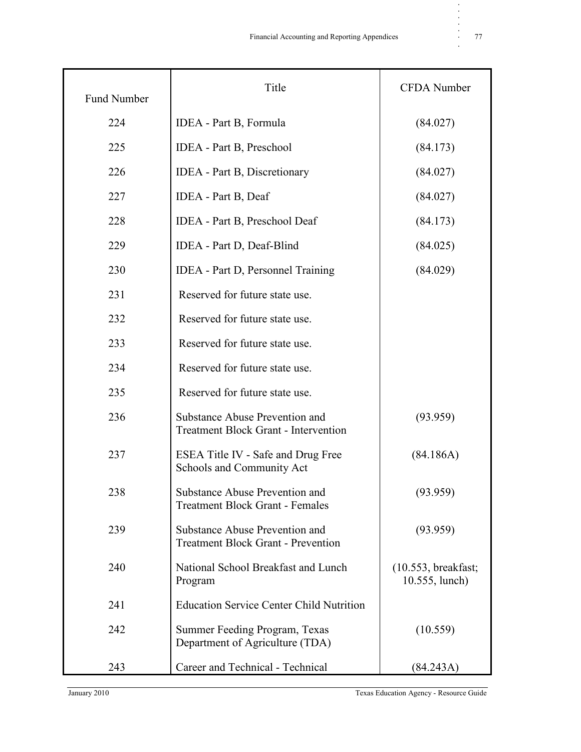| <b>Fund Number</b> | Title                                                                         | CFDA Number                           |
|--------------------|-------------------------------------------------------------------------------|---------------------------------------|
| 224                | IDEA - Part B, Formula                                                        | (84.027)                              |
| 225                | <b>IDEA</b> - Part B, Preschool                                               | (84.173)                              |
| 226                | <b>IDEA</b> - Part B, Discretionary                                           | (84.027)                              |
| 227                | <b>IDEA</b> - Part B, Deaf                                                    | (84.027)                              |
| 228                | <b>IDEA</b> - Part B, Preschool Deaf                                          | (84.173)                              |
| 229                | IDEA - Part D, Deaf-Blind                                                     | (84.025)                              |
| 230                | <b>IDEA</b> - Part D, Personnel Training                                      | (84.029)                              |
| 231                | Reserved for future state use.                                                |                                       |
| 232                | Reserved for future state use.                                                |                                       |
| 233                | Reserved for future state use.                                                |                                       |
| 234                | Reserved for future state use.                                                |                                       |
| 235                | Reserved for future state use.                                                |                                       |
| 236                | Substance Abuse Prevention and<br><b>Treatment Block Grant - Intervention</b> | (93.959)                              |
| 237                | ESEA Title IV - Safe and Drug Free<br>Schools and Community Act               | (84.186A)                             |
| 238                | Substance Abuse Prevention and<br><b>Treatment Block Grant - Females</b>      | (93.959)                              |
| 239                | Substance Abuse Prevention and<br><b>Treatment Block Grant - Prevention</b>   | (93.959)                              |
| 240                | National School Breakfast and Lunch<br>Program                                | (10.553, breakfast;<br>10.555, lunch) |
| 241                | <b>Education Service Center Child Nutrition</b>                               |                                       |
| 242                | Summer Feeding Program, Texas<br>Department of Agriculture (TDA)              | (10.559)                              |
| 243                | Career and Technical - Technical                                              | (84.243A)                             |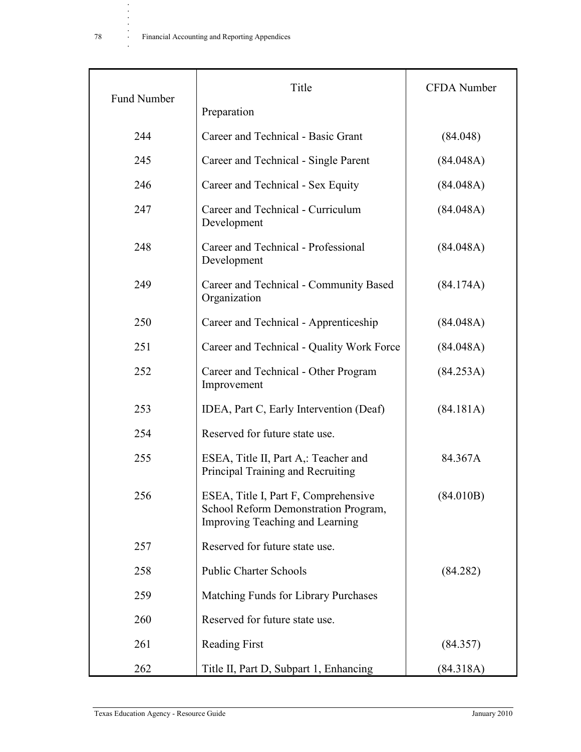| <b>Fund Number</b> | Title                                                                                                           | <b>CFDA</b> Number |
|--------------------|-----------------------------------------------------------------------------------------------------------------|--------------------|
|                    | Preparation                                                                                                     |                    |
| 244                | Career and Technical - Basic Grant                                                                              | (84.048)           |
| 245                | Career and Technical - Single Parent                                                                            | (84.048A)          |
| 246                | Career and Technical - Sex Equity                                                                               | (84.048A)          |
| 247                | Career and Technical - Curriculum<br>Development                                                                | (84.048A)          |
| 248                | Career and Technical - Professional<br>Development                                                              | (84.048A)          |
| 249                | Career and Technical - Community Based<br>Organization                                                          | (84.174A)          |
| 250                | Career and Technical - Apprenticeship                                                                           | (84.048A)          |
| 251                | Career and Technical - Quality Work Force                                                                       | (84.048A)          |
| 252                | Career and Technical - Other Program<br>Improvement                                                             | (84.253A)          |
| 253                | IDEA, Part C, Early Intervention (Deaf)                                                                         | (84.181A)          |
| 254                | Reserved for future state use.                                                                                  |                    |
| 255                | ESEA, Title II, Part A,: Teacher and<br>Principal Training and Recruiting                                       | 84.367A            |
| 256                | ESEA, Title I, Part F, Comprehensive<br>School Reform Demonstration Program,<br>Improving Teaching and Learning | (84.010B)          |
| 257                | Reserved for future state use.                                                                                  |                    |
| 258                | <b>Public Charter Schools</b>                                                                                   | (84.282)           |
| 259                | Matching Funds for Library Purchases                                                                            |                    |
| 260                | Reserved for future state use.                                                                                  |                    |
| 261                | <b>Reading First</b>                                                                                            | (84.357)           |
| 262                | Title II, Part D, Subpart 1, Enhancing                                                                          | (84.318A)          |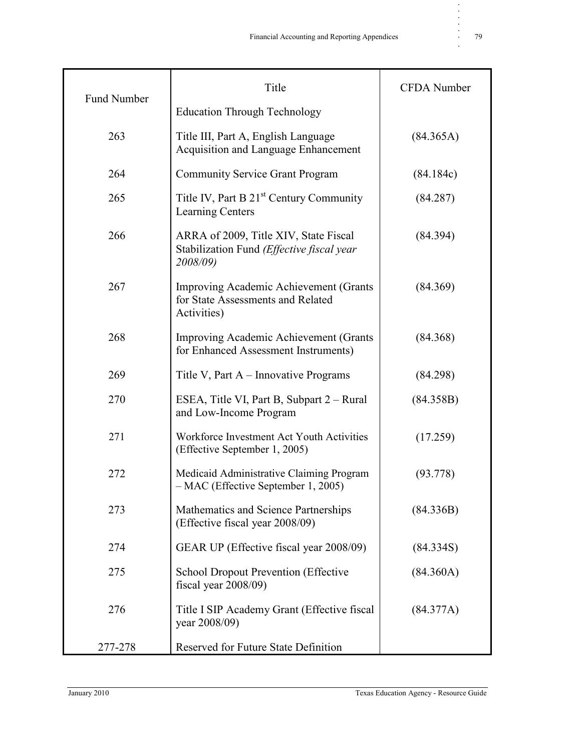|                    | Title                                                                                          | <b>CFDA</b> Number |
|--------------------|------------------------------------------------------------------------------------------------|--------------------|
| <b>Fund Number</b> | <b>Education Through Technology</b>                                                            |                    |
| 263                | Title III, Part A, English Language<br>Acquisition and Language Enhancement                    | (84.365A)          |
| 264                | <b>Community Service Grant Program</b>                                                         | (84.184c)          |
| 265                | Title IV, Part B 21 <sup>st</sup> Century Community<br><b>Learning Centers</b>                 | (84.287)           |
| 266                | ARRA of 2009, Title XIV, State Fiscal<br>Stabilization Fund (Effective fiscal year<br>2008/09) | (84.394)           |
| 267                | Improving Academic Achievement (Grants<br>for State Assessments and Related<br>Activities)     | (84.369)           |
| 268                | Improving Academic Achievement (Grants<br>for Enhanced Assessment Instruments)                 | (84.368)           |
| 269                | Title V, Part A – Innovative Programs                                                          | (84.298)           |
| 270                | ESEA, Title VI, Part B, Subpart 2 – Rural<br>and Low-Income Program                            | (84.358B)          |
| 271                | Workforce Investment Act Youth Activities<br>(Effective September 1, 2005)                     | (17.259)           |
| 272                | Medicaid Administrative Claiming Program<br>- MAC (Effective September 1, 2005)                | (93.778)           |
| 273                | Mathematics and Science Partnerships<br>(Effective fiscal year 2008/09)                        | (84.336B)          |
| 274                | GEAR UP (Effective fiscal year 2008/09)                                                        | (84.334S)          |
| 275                | <b>School Dropout Prevention (Effective</b><br>fiscal year $2008/09$ )                         | (84.360A)          |
| 276                | Title I SIP Academy Grant (Effective fiscal<br>year 2008/09)                                   | (84.377A)          |
| 277-278            | Reserved for Future State Definition                                                           |                    |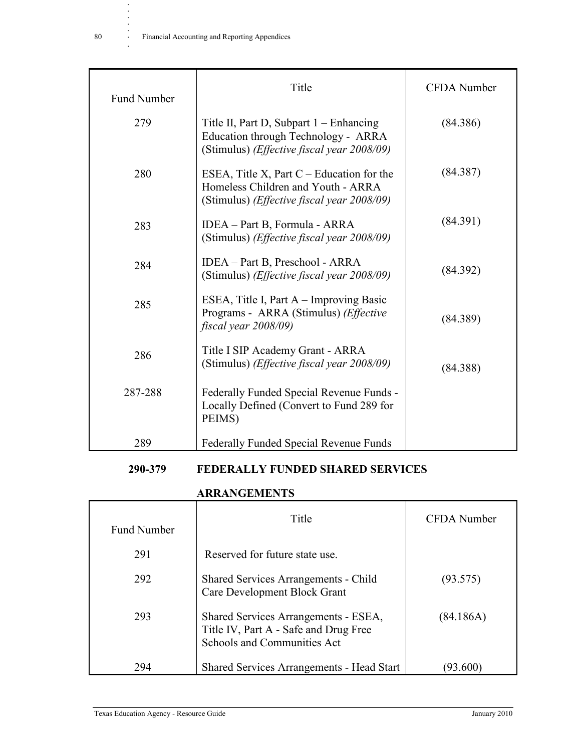**.**

| <b>Fund Number</b> | Title                                                                                                                                    | <b>CFDA</b> Number |
|--------------------|------------------------------------------------------------------------------------------------------------------------------------------|--------------------|
| 279                | Title II, Part D, Subpart 1 – Enhancing<br>Education through Technology - ARRA<br>(Stimulus) (Effective fiscal year 2008/09)             | (84.386)           |
| 280                | ESEA, Title X, Part $C$ – Education for the<br>Homeless Children and Youth - ARRA<br>(Stimulus) ( <i>Effective fiscal year 2008/09</i> ) | (84.387)           |
| 283                | IDEA – Part B, Formula - ARRA<br>(Stimulus) ( <i>Effective fiscal year 2008/09</i> )                                                     | (84.391)           |
| 284                | IDEA – Part B, Preschool - ARRA<br>(Stimulus) ( <i>Effective fiscal year 2008/09</i> )                                                   | (84.392)           |
| 285                | ESEA, Title I, Part A – Improving Basic<br>Programs - ARRA (Stimulus) (Effective<br>fiscal year 2008/09)                                 | (84.389)           |
| 286                | Title I SIP Academy Grant - ARRA<br>(Stimulus) ( <i>Effective fiscal year 2008/09</i> )                                                  | (84.388)           |
| 287-288            | Federally Funded Special Revenue Funds -<br>Locally Defined (Convert to Fund 289 for<br>PEIMS)                                           |                    |
| 289                | Federally Funded Special Revenue Funds                                                                                                   |                    |

### **290-379 FEDERALLY FUNDED SHARED SERVICES**

### **ARRANGEMENTS**

| <b>Fund Number</b> | Title                                                                                                        | <b>CFDA</b> Number |
|--------------------|--------------------------------------------------------------------------------------------------------------|--------------------|
| 291                | Reserved for future state use.                                                                               |                    |
| 292                | <b>Shared Services Arrangements - Child</b><br>Care Development Block Grant                                  | (93.575)           |
| 293                | Shared Services Arrangements - ESEA,<br>Title IV, Part A - Safe and Drug Free<br>Schools and Communities Act | (84.186A)          |
| 294                | <b>Shared Services Arrangements - Head Start</b>                                                             | 93.600             |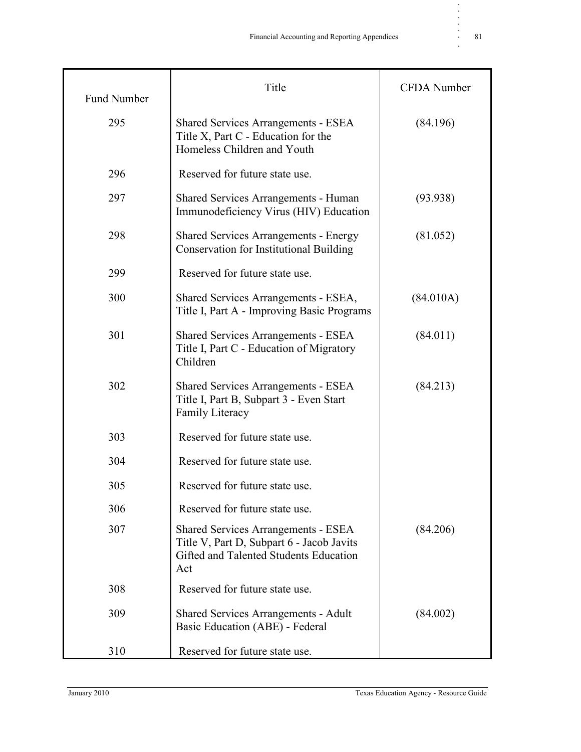| <b>Fund Number</b> | Title                                                                                                                                    | <b>CFDA</b> Number |
|--------------------|------------------------------------------------------------------------------------------------------------------------------------------|--------------------|
| 295                | <b>Shared Services Arrangements - ESEA</b><br>Title X, Part C - Education for the<br>Homeless Children and Youth                         | (84.196)           |
| 296                | Reserved for future state use.                                                                                                           |                    |
| 297                | Shared Services Arrangements - Human<br>Immunodeficiency Virus (HIV) Education                                                           | (93.938)           |
| 298                | <b>Shared Services Arrangements - Energy</b><br><b>Conservation for Institutional Building</b>                                           | (81.052)           |
| 299                | Reserved for future state use.                                                                                                           |                    |
| 300                | Shared Services Arrangements - ESEA,<br>Title I, Part A - Improving Basic Programs                                                       | (84.010A)          |
| 301                | <b>Shared Services Arrangements - ESEA</b><br>Title I, Part C - Education of Migratory<br>Children                                       | (84.011)           |
| 302                | <b>Shared Services Arrangements - ESEA</b><br>Title I, Part B, Subpart 3 - Even Start<br>Family Literacy                                 | (84.213)           |
| 303                | Reserved for future state use.                                                                                                           |                    |
| 304                | Reserved for future state use.                                                                                                           |                    |
| 305                | Reserved for future state use.                                                                                                           |                    |
| 306                | Reserved for future state use.                                                                                                           |                    |
| 307                | <b>Shared Services Arrangements - ESEA</b><br>Title V, Part D, Subpart 6 - Jacob Javits<br>Gifted and Talented Students Education<br>Act | (84.206)           |
| 308                | Reserved for future state use.                                                                                                           |                    |
| 309                | Shared Services Arrangements - Adult<br>Basic Education (ABE) - Federal                                                                  | (84.002)           |
| 310                | Reserved for future state use.                                                                                                           |                    |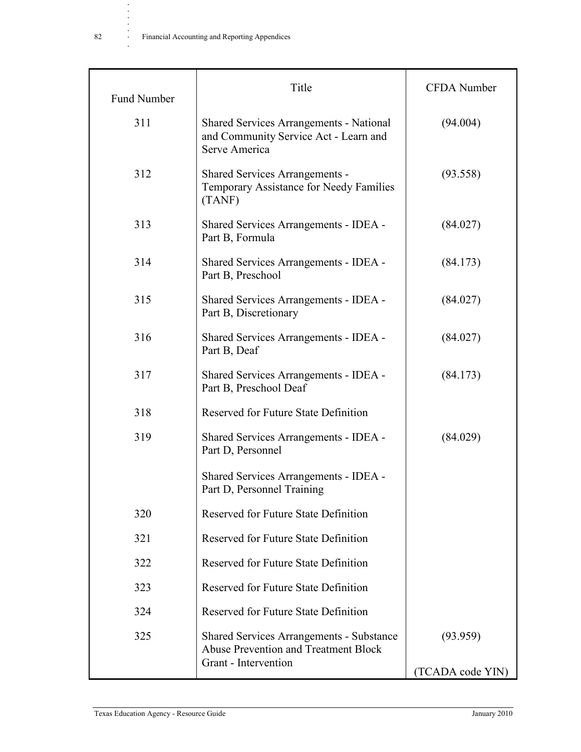|                                                                                                                        | <b>CFDA</b> Number           |
|------------------------------------------------------------------------------------------------------------------------|------------------------------|
| <b>Shared Services Arrangements - National</b><br>and Community Service Act - Learn and<br>Serve America               | (94.004)                     |
| <b>Shared Services Arrangements -</b><br>Temporary Assistance for Needy Families<br>(TANF)                             | (93.558)                     |
| Shared Services Arrangements - IDEA -<br>Part B, Formula                                                               | (84.027)                     |
| Shared Services Arrangements - IDEA -<br>Part B, Preschool                                                             | (84.173)                     |
| Shared Services Arrangements - IDEA -<br>Part B, Discretionary                                                         | (84.027)                     |
| Shared Services Arrangements - IDEA -<br>Part B, Deaf                                                                  | (84.027)                     |
| Shared Services Arrangements - IDEA -<br>Part B, Preschool Deaf                                                        | (84.173)                     |
| <b>Reserved for Future State Definition</b>                                                                            |                              |
| Shared Services Arrangements - IDEA -<br>Part D, Personnel                                                             | (84.029)                     |
| Shared Services Arrangements - IDEA -<br>Part D, Personnel Training                                                    |                              |
| <b>Reserved for Future State Definition</b>                                                                            |                              |
| Reserved for Future State Definition                                                                                   |                              |
| Reserved for Future State Definition                                                                                   |                              |
| Reserved for Future State Definition                                                                                   |                              |
| Reserved for Future State Definition                                                                                   |                              |
| <b>Shared Services Arrangements - Substance</b><br><b>Abuse Prevention and Treatment Block</b><br>Grant - Intervention | (93.959)<br>(TCADA code YIN) |
|                                                                                                                        |                              |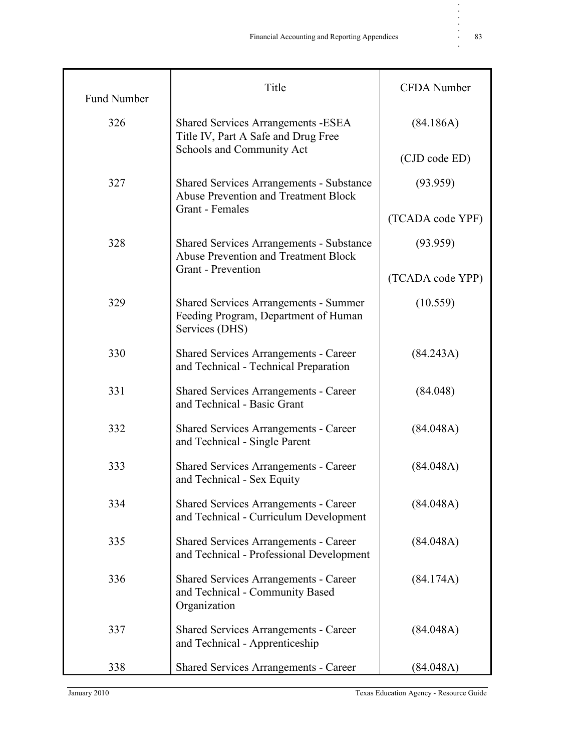| <b>Fund Number</b> | Title                                                                                                  | <b>CFDA</b> Number |
|--------------------|--------------------------------------------------------------------------------------------------------|--------------------|
| 326                | <b>Shared Services Arrangements - ESEA</b><br>Title IV, Part A Safe and Drug Free                      | (84.186A)          |
|                    | Schools and Community Act                                                                              | (CJD code ED)      |
| 327                | <b>Shared Services Arrangements - Substance</b><br><b>Abuse Prevention and Treatment Block</b>         | (93.959)           |
|                    | Grant - Females                                                                                        | (TCADA code YPF)   |
| 328                | <b>Shared Services Arrangements - Substance</b><br><b>Abuse Prevention and Treatment Block</b>         | (93.959)           |
|                    | <b>Grant</b> - Prevention                                                                              | (TCADA code YPP)   |
| 329                | <b>Shared Services Arrangements - Summer</b><br>Feeding Program, Department of Human<br>Services (DHS) | (10.559)           |
| 330                | <b>Shared Services Arrangements - Career</b><br>and Technical - Technical Preparation                  | (84.243A)          |
| 331                | <b>Shared Services Arrangements - Career</b><br>and Technical - Basic Grant                            | (84.048)           |
| 332                | <b>Shared Services Arrangements - Career</b><br>and Technical - Single Parent                          | (84.048A)          |
| 333                | <b>Shared Services Arrangements - Career</b><br>and Technical - Sex Equity                             | (84.048A)          |
| 334                | <b>Shared Services Arrangements - Career</b><br>and Technical - Curriculum Development                 | (84.048A)          |
| 335                | <b>Shared Services Arrangements - Career</b><br>and Technical - Professional Development               | (84.048A)          |
| 336                | <b>Shared Services Arrangements - Career</b><br>and Technical - Community Based<br>Organization        | (84.174A)          |
| 337                | <b>Shared Services Arrangements - Career</b><br>and Technical - Apprenticeship                         | (84.048A)          |
| 338                | <b>Shared Services Arrangements - Career</b>                                                           | (84.048A)          |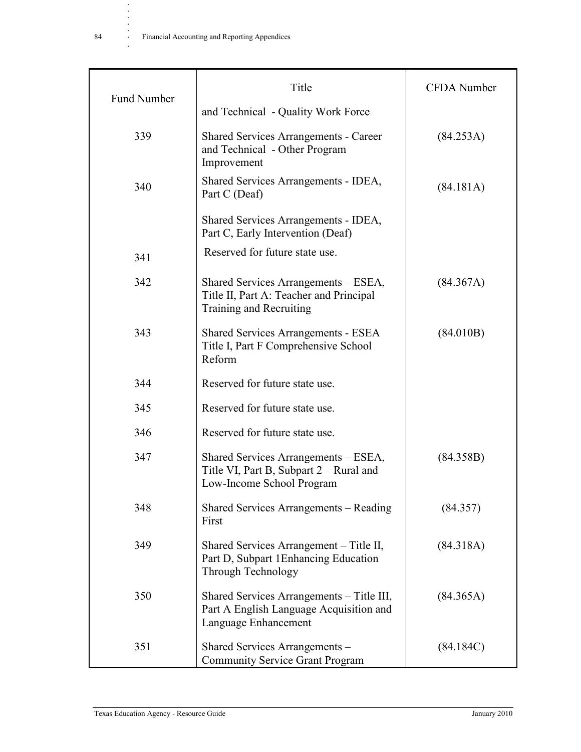|                    | Title                                                                                                         | <b>CFDA</b> Number |
|--------------------|---------------------------------------------------------------------------------------------------------------|--------------------|
| <b>Fund Number</b> | and Technical - Quality Work Force                                                                            |                    |
| 339                | <b>Shared Services Arrangements - Career</b><br>and Technical - Other Program<br>Improvement                  | (84.253A)          |
| 340                | Shared Services Arrangements - IDEA,<br>Part C (Deaf)                                                         | (84.181A)          |
|                    | Shared Services Arrangements - IDEA,<br>Part C, Early Intervention (Deaf)                                     |                    |
| 341                | Reserved for future state use.                                                                                |                    |
| 342                | Shared Services Arrangements – ESEA,<br>Title II, Part A: Teacher and Principal<br>Training and Recruiting    | (84.367A)          |
| 343                | <b>Shared Services Arrangements - ESEA</b><br>Title I, Part F Comprehensive School<br>Reform                  | (84.010B)          |
| 344                | Reserved for future state use.                                                                                |                    |
| 345                | Reserved for future state use.                                                                                |                    |
| 346                | Reserved for future state use.                                                                                |                    |
| 347                | Shared Services Arrangements – ESEA,<br>Title VI, Part B, Subpart 2 – Rural and<br>Low-Income School Program  | (84.358B)          |
| 348                | Shared Services Arrangements – Reading<br>First                                                               | (84.357)           |
| 349                | Shared Services Arrangement – Title II,<br>Part D, Subpart 1 Enhancing Education<br><b>Through Technology</b> | (84.318A)          |
| 350                | Shared Services Arrangements – Title III,<br>Part A English Language Acquisition and<br>Language Enhancement  | (84.365A)          |
| 351                | Shared Services Arrangements -<br><b>Community Service Grant Program</b>                                      | (84.184C)          |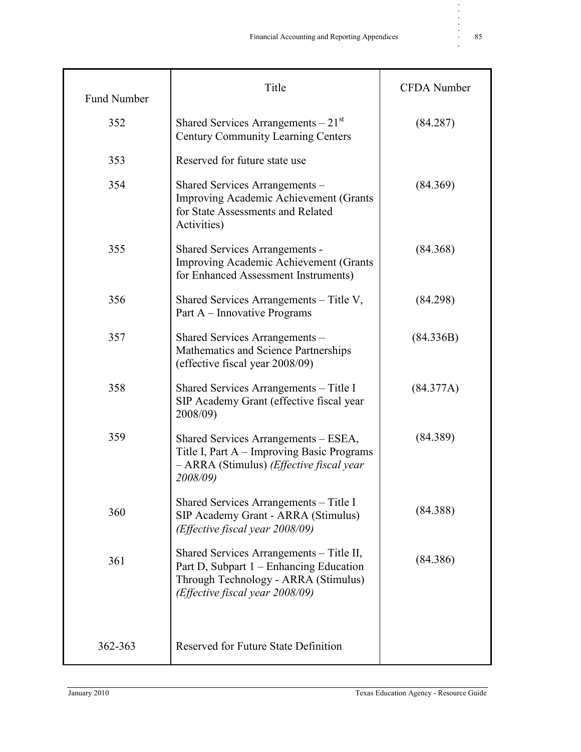| <b>Fund Number</b> | Title                                                                                                                                                          | <b>CFDA</b> Number |
|--------------------|----------------------------------------------------------------------------------------------------------------------------------------------------------------|--------------------|
| 352                | Shared Services Arrangements $-21st$<br><b>Century Community Learning Centers</b>                                                                              | (84.287)           |
| 353                | Reserved for future state use                                                                                                                                  |                    |
| 354                | Shared Services Arrangements -<br>Improving Academic Achievement (Grants<br>for State Assessments and Related<br>Activities)                                   | (84.369)           |
| 355                | <b>Shared Services Arrangements -</b><br>Improving Academic Achievement (Grants<br>for Enhanced Assessment Instruments)                                        | (84.368)           |
| 356                | Shared Services Arrangements – Title V,<br>Part A – Innovative Programs                                                                                        | (84.298)           |
| 357                | Shared Services Arrangements -<br>Mathematics and Science Partnerships<br>(effective fiscal year 2008/09)                                                      | (84.336B)          |
| 358                | Shared Services Arrangements - Title I<br>SIP Academy Grant (effective fiscal year<br>2008/09)                                                                 | (84.377A)          |
| 359                | Shared Services Arrangements – ESEA,<br>Title I, Part A – Improving Basic Programs<br>- ARRA (Stimulus) ( <i>Effective fiscal year</i><br>2008/09)             | (84.389)           |
| 360                | Shared Services Arrangements – Title I<br>SIP Academy Grant - ARRA (Stimulus)<br>(Effective fiscal year 2008/09)                                               | (84.388)           |
| 361                | Shared Services Arrangements – Title II,<br>Part D, Subpart 1 – Enhancing Education<br>Through Technology - ARRA (Stimulus)<br>(Effective fiscal year 2008/09) | (84.386)           |
| 362-363            | <b>Reserved for Future State Definition</b>                                                                                                                    |                    |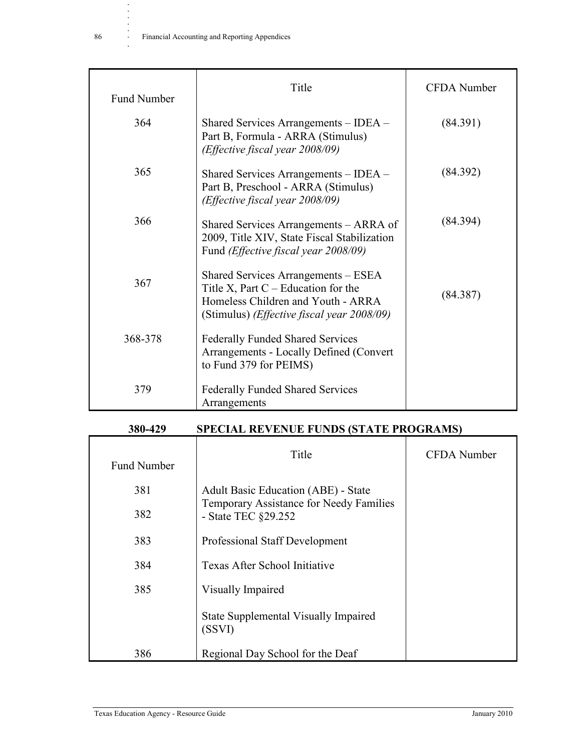| <b>Fund Number</b> | Title                                                                                                                                                                     | <b>CFDA</b> Number |
|--------------------|---------------------------------------------------------------------------------------------------------------------------------------------------------------------------|--------------------|
| 364                | Shared Services Arrangements – IDEA –<br>Part B, Formula - ARRA (Stimulus)<br>(Effective fiscal year 2008/09)                                                             | (84.391)           |
| 365                | Shared Services Arrangements – IDEA –<br>Part B, Preschool - ARRA (Stimulus)<br>(Effective fiscal year 2008/09)                                                           | (84.392)           |
| 366                | Shared Services Arrangements - ARRA of<br>2009, Title XIV, State Fiscal Stabilization<br>Fund (Effective fiscal year 2008/09)                                             | (84.394)           |
| 367                | Shared Services Arrangements - ESEA<br>Title X, Part $C -$ Education for the<br>Homeless Children and Youth - ARRA<br>(Stimulus) ( <i>Effective fiscal year 2008/09</i> ) | (84.387)           |
| 368-378            | <b>Federally Funded Shared Services</b><br>Arrangements - Locally Defined (Convert<br>to Fund 379 for PEIMS)                                                              |                    |
| 379                | <b>Federally Funded Shared Services</b><br>Arrangements                                                                                                                   |                    |

| <b>SPECIAL REVENUE FUNDS (STATE PROGRAMS)</b><br>380-429 |  |
|----------------------------------------------------------|--|
|----------------------------------------------------------|--|

| <b>Fund Number</b> | Title                                                          | CFDA Number |
|--------------------|----------------------------------------------------------------|-------------|
| 381                | <b>Adult Basic Education (ABE) - State</b>                     |             |
| 382                | Temporary Assistance for Needy Families<br>- State TEC §29.252 |             |
| 383                | Professional Staff Development                                 |             |
| 384                | Texas After School Initiative                                  |             |
| 385                | Visually Impaired                                              |             |
|                    | <b>State Supplemental Visually Impaired</b><br>(SSVI)          |             |
| 386                | Regional Day School for the Deaf                               |             |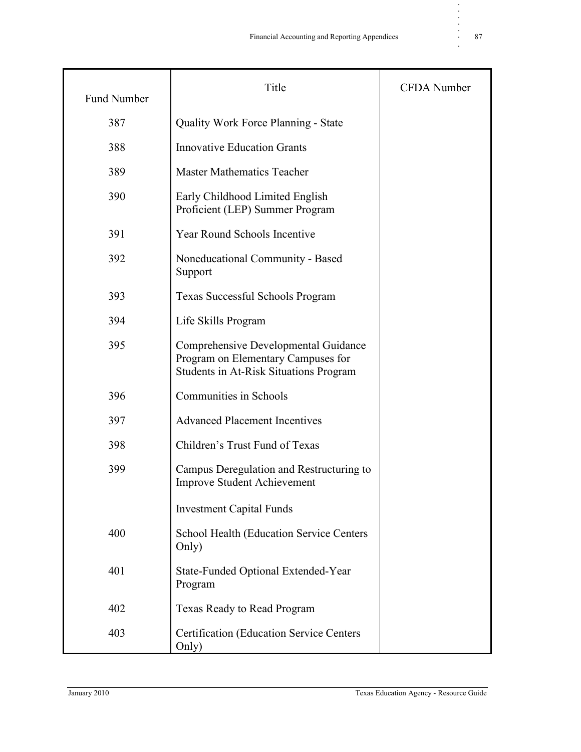| <b>Fund Number</b> | Title                                                                                                                | <b>CFDA</b> Number |
|--------------------|----------------------------------------------------------------------------------------------------------------------|--------------------|
| 387                | <b>Quality Work Force Planning - State</b>                                                                           |                    |
| 388                | <b>Innovative Education Grants</b>                                                                                   |                    |
| 389                | <b>Master Mathematics Teacher</b>                                                                                    |                    |
| 390                | Early Childhood Limited English<br>Proficient (LEP) Summer Program                                                   |                    |
| 391                | Year Round Schools Incentive                                                                                         |                    |
| 392                | Noneducational Community - Based<br>Support                                                                          |                    |
| 393                | Texas Successful Schools Program                                                                                     |                    |
| 394                | Life Skills Program                                                                                                  |                    |
| 395                | Comprehensive Developmental Guidance<br>Program on Elementary Campuses for<br>Students in At-Risk Situations Program |                    |
| 396                | <b>Communities in Schools</b>                                                                                        |                    |
| 397                | <b>Advanced Placement Incentives</b>                                                                                 |                    |
| 398                | Children's Trust Fund of Texas                                                                                       |                    |
| 399                | Campus Deregulation and Restructuring to<br><b>Improve Student Achievement</b>                                       |                    |
|                    | <b>Investment Capital Funds</b>                                                                                      |                    |
| 400                | School Health (Education Service Centers<br>Only)                                                                    |                    |
| 401                | State-Funded Optional Extended-Year<br>Program                                                                       |                    |
| 402                | <b>Texas Ready to Read Program</b>                                                                                   |                    |
| 403                | <b>Certification (Education Service Centers)</b><br>Only)                                                            |                    |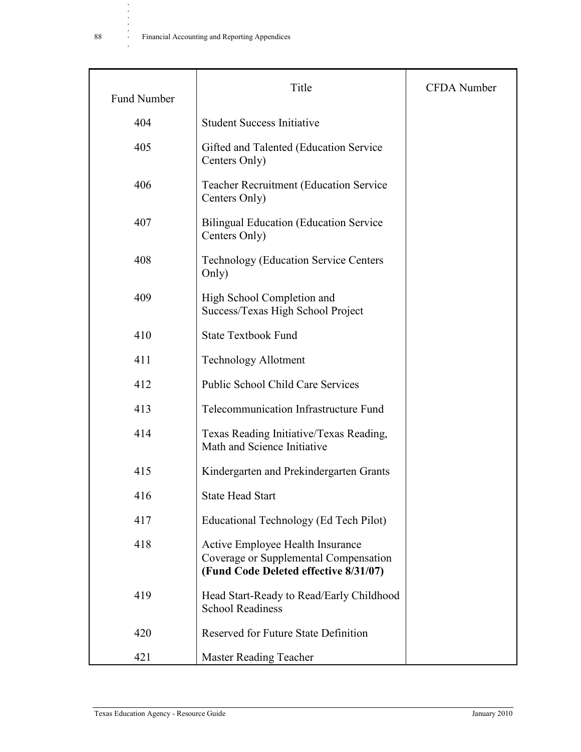| <b>Fund Number</b> | Title                                                                                                              | <b>CFDA</b> Number |
|--------------------|--------------------------------------------------------------------------------------------------------------------|--------------------|
| 404                | <b>Student Success Initiative</b>                                                                                  |                    |
| 405                | Gifted and Talented (Education Service)<br>Centers Only)                                                           |                    |
| 406                | <b>Teacher Recruitment (Education Service</b><br>Centers Only)                                                     |                    |
| 407                | <b>Bilingual Education (Education Service)</b><br>Centers Only)                                                    |                    |
| 408                | <b>Technology (Education Service Centers)</b><br>Only)                                                             |                    |
| 409                | High School Completion and<br>Success/Texas High School Project                                                    |                    |
| 410                | <b>State Textbook Fund</b>                                                                                         |                    |
| 411                | <b>Technology Allotment</b>                                                                                        |                    |
| 412                | <b>Public School Child Care Services</b>                                                                           |                    |
| 413                | Telecommunication Infrastructure Fund                                                                              |                    |
| 414                | Texas Reading Initiative/Texas Reading,<br>Math and Science Initiative                                             |                    |
| 415                | Kindergarten and Prekindergarten Grants                                                                            |                    |
| 416                | <b>State Head Start</b>                                                                                            |                    |
| 417                | Educational Technology (Ed Tech Pilot)                                                                             |                    |
| 418                | Active Employee Health Insurance<br>Coverage or Supplemental Compensation<br>(Fund Code Deleted effective 8/31/07) |                    |
| 419                | Head Start-Ready to Read/Early Childhood<br><b>School Readiness</b>                                                |                    |
| 420                | Reserved for Future State Definition                                                                               |                    |
| 421                | <b>Master Reading Teacher</b>                                                                                      |                    |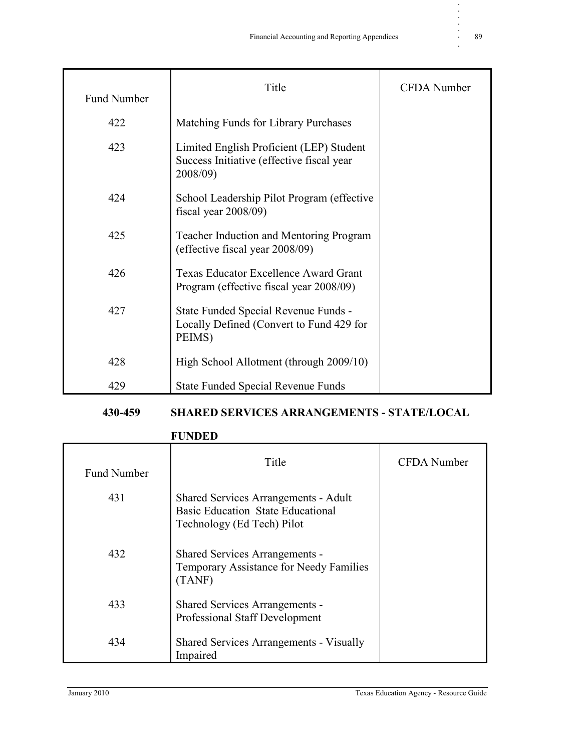| Fund Number | Title                                                                                              | <b>CFDA</b> Number |
|-------------|----------------------------------------------------------------------------------------------------|--------------------|
| 422         | Matching Funds for Library Purchases                                                               |                    |
| 423         | Limited English Proficient (LEP) Student<br>Success Initiative (effective fiscal year)<br>2008/09) |                    |
| 424         | School Leadership Pilot Program (effective<br>fiscal year $2008/09$ )                              |                    |
| 425         | <b>Teacher Induction and Mentoring Program</b><br>(effective fiscal year 2008/09)                  |                    |
| 426         | <b>Texas Educator Excellence Award Grant</b><br>Program (effective fiscal year 2008/09)            |                    |
| 427         | State Funded Special Revenue Funds -<br>Locally Defined (Convert to Fund 429 for<br>PEIMS)         |                    |
| 428         | High School Allotment (through 2009/10)                                                            |                    |
| 429         | <b>State Funded Special Revenue Funds</b>                                                          |                    |

#### **430-459 SHARED SERVICES ARRANGEMENTS - STATE/LOCAL**

#### **FUNDED**

| <b>Fund Number</b> | Title                                                                                                                 | <b>CFDA</b> Number |
|--------------------|-----------------------------------------------------------------------------------------------------------------------|--------------------|
| 431                | <b>Shared Services Arrangements - Adult</b><br><b>Basic Education State Educational</b><br>Technology (Ed Tech) Pilot |                    |
| 432                | <b>Shared Services Arrangements -</b><br>Temporary Assistance for Needy Families<br>(TANF)                            |                    |
| 433                | <b>Shared Services Arrangements -</b><br>Professional Staff Development                                               |                    |
| 434                | <b>Shared Services Arrangements - Visually</b><br>Impaired                                                            |                    |

**. . . . .**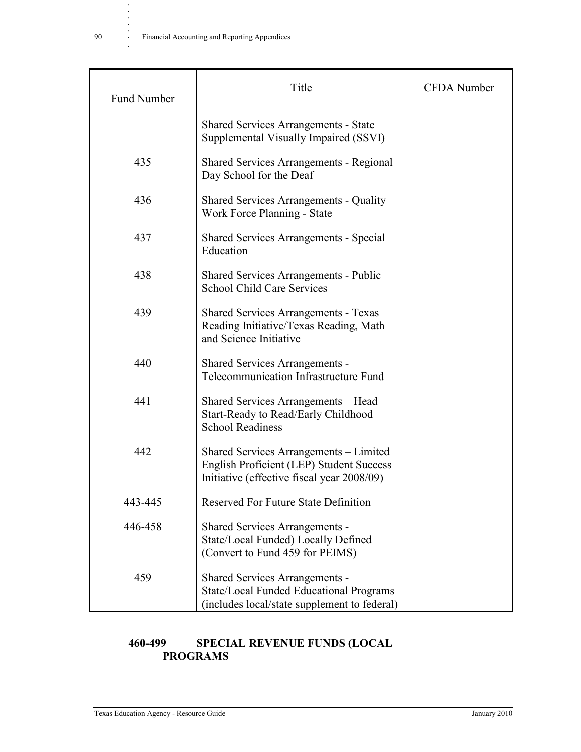**.**

| <b>Fund Number</b> | Title                                                                                                                            | <b>CFDA</b> Number |
|--------------------|----------------------------------------------------------------------------------------------------------------------------------|--------------------|
|                    | <b>Shared Services Arrangements - State</b><br>Supplemental Visually Impaired (SSVI)                                             |                    |
| 435                | <b>Shared Services Arrangements - Regional</b><br>Day School for the Deaf                                                        |                    |
| 436                | <b>Shared Services Arrangements - Quality</b><br>Work Force Planning - State                                                     |                    |
| 437                | <b>Shared Services Arrangements - Special</b><br>Education                                                                       |                    |
| 438                | <b>Shared Services Arrangements - Public</b><br><b>School Child Care Services</b>                                                |                    |
| 439                | <b>Shared Services Arrangements - Texas</b><br>Reading Initiative/Texas Reading, Math<br>and Science Initiative                  |                    |
| 440                | Shared Services Arrangements -<br>Telecommunication Infrastructure Fund                                                          |                    |
| 441                | Shared Services Arrangements – Head<br>Start-Ready to Read/Early Childhood<br><b>School Readiness</b>                            |                    |
| 442                | Shared Services Arrangements – Limited<br>English Proficient (LEP) Student Success<br>Initiative (effective fiscal year 2008/09) |                    |
| 443-445            | <b>Reserved For Future State Definition</b>                                                                                      |                    |
| 446-458            | <b>Shared Services Arrangements -</b><br>State/Local Funded) Locally Defined<br>(Convert to Fund 459 for PEIMS)                  |                    |
| 459                | Shared Services Arrangements -<br><b>State/Local Funded Educational Programs</b><br>(includes local/state supplement to federal) |                    |

#### **460-499 SPECIAL REVENUE FUNDS (LOCAL PROGRAMS**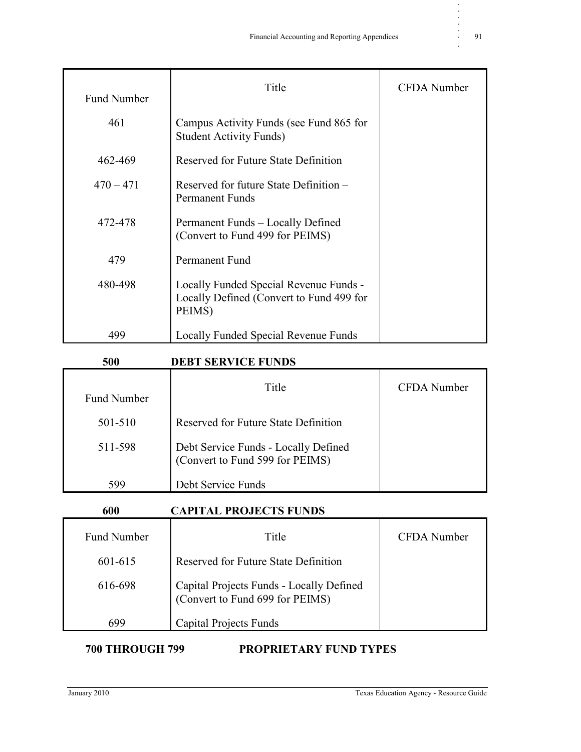| <b>Fund Number</b> | Title                                                                                        | <b>CFDA</b> Number |
|--------------------|----------------------------------------------------------------------------------------------|--------------------|
| 461                | Campus Activity Funds (see Fund 865 for<br><b>Student Activity Funds</b> )                   |                    |
| 462-469            | Reserved for Future State Definition                                                         |                    |
| $470 - 471$        | Reserved for future State Definition –<br><b>Permanent Funds</b>                             |                    |
| 472-478            | Permanent Funds - Locally Defined<br>(Convert to Fund 499 for PEIMS)                         |                    |
| 479                | Permanent Fund                                                                               |                    |
| 480-498            | Locally Funded Special Revenue Funds -<br>Locally Defined (Convert to Fund 499 for<br>PEIMS) |                    |
| 499                | Locally Funded Special Revenue Funds                                                         |                    |

#### **500 DEBT SERVICE FUNDS**

| <b>Fund Number</b> | Title                                                                   | CFDA Number |
|--------------------|-------------------------------------------------------------------------|-------------|
| 501-510            | Reserved for Future State Definition                                    |             |
| 511-598            | Debt Service Funds - Locally Defined<br>(Convert to Fund 599 for PEIMS) |             |
| 599                | Debt Service Funds                                                      |             |

| 600                | <b>CAPITAL PROJECTS FUNDS</b>                                               |             |
|--------------------|-----------------------------------------------------------------------------|-------------|
| <b>Fund Number</b> | Title                                                                       | CFDA Number |
| 601-615            | Reserved for Future State Definition                                        |             |
| 616-698            | Capital Projects Funds - Locally Defined<br>(Convert to Fund 699 for PEIMS) |             |
| 699                | Capital Projects Funds                                                      |             |

**700 THROUGH 799 PROPRIETARY FUND TYPES**

**. . . . .**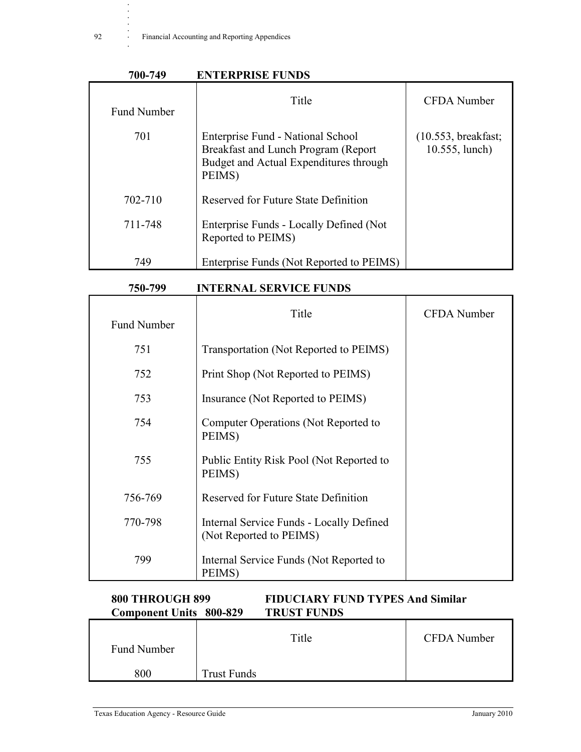**.**

#### **700-749 ENTERPRISE FUNDS**

| <b>Fund Number</b> | Title                                                                                                                        | <b>CFDA</b> Number                    |
|--------------------|------------------------------------------------------------------------------------------------------------------------------|---------------------------------------|
| 701                | Enterprise Fund - National School<br>Breakfast and Lunch Program (Report<br>Budget and Actual Expenditures through<br>PEIMS) | (10.553, breakfast;<br>10.555, lunch) |
| 702-710            | Reserved for Future State Definition                                                                                         |                                       |
| 711-748            | Enterprise Funds - Locally Defined (Not)<br>Reported to PEIMS)                                                               |                                       |
| 749                | Enterprise Funds (Not Reported to PEIMS)                                                                                     |                                       |

#### **750-799 INTERNAL SERVICE FUNDS**

| <b>Fund Number</b> | Title                                                               | <b>CFDA</b> Number |
|--------------------|---------------------------------------------------------------------|--------------------|
| 751                | Transportation (Not Reported to PEIMS)                              |                    |
| 752                | Print Shop (Not Reported to PEIMS)                                  |                    |
| 753                | Insurance (Not Reported to PEIMS)                                   |                    |
| 754                | Computer Operations (Not Reported to<br>PEIMS)                      |                    |
| 755                | Public Entity Risk Pool (Not Reported to<br>PEIMS)                  |                    |
| 756-769            | Reserved for Future State Definition                                |                    |
| 770-798            | Internal Service Funds - Locally Defined<br>(Not Reported to PEIMS) |                    |
| 799                | Internal Service Funds (Not Reported to<br>PEIMS)                   |                    |

#### **800 THROUGH 899 FIDUCIARY FUND TYPES And Similar Component Units 800-829 TRUST FUNDS**

| Fund Number | Title              | <b>CFDA</b> Number |
|-------------|--------------------|--------------------|
| 800         | <b>Trust Funds</b> |                    |

**T**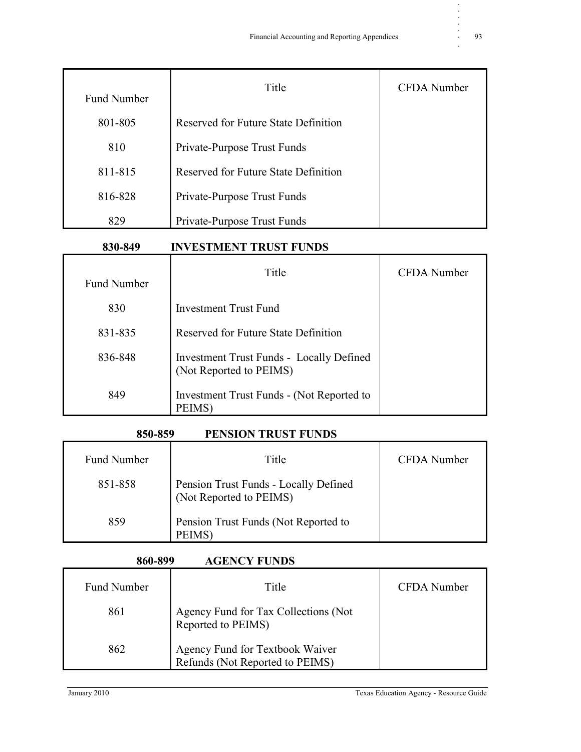| <b>Fund Number</b> | Title                                | <b>CFDA</b> Number |
|--------------------|--------------------------------------|--------------------|
| 801-805            | Reserved for Future State Definition |                    |
| 810                | Private-Purpose Trust Funds          |                    |
| 811-815            | Reserved for Future State Definition |                    |
| 816-828            | Private-Purpose Trust Funds          |                    |
| 829                | Private-Purpose Trust Funds          |                    |

#### **830-849 INVESTMENT TRUST FUNDS**

| <b>Fund Number</b> | Title                                                                      | CFDA Number |
|--------------------|----------------------------------------------------------------------------|-------------|
| 830                | <b>Investment Trust Fund</b>                                               |             |
| 831-835            | Reserved for Future State Definition                                       |             |
| 836-848            | <b>Investment Trust Funds - Locally Defined</b><br>(Not Reported to PEIMS) |             |
| 849                | Investment Trust Funds - (Not Reported to<br>PEIMS)                        |             |

#### **850-859 PENSION TRUST FUNDS**

| <b>Fund Number</b> | Title                                                            | CFDA Number |
|--------------------|------------------------------------------------------------------|-------------|
| 851-858            | Pension Trust Funds - Locally Defined<br>(Not Reported to PEIMS) |             |
| 859                | Pension Trust Funds (Not Reported to<br><b>PEIMS</b>             |             |

#### **860-899 AGENCY FUNDS**

| <b>Fund Number</b> | Title                                                              | CFDA Number |
|--------------------|--------------------------------------------------------------------|-------------|
| 861                | Agency Fund for Tax Collections (Not<br>Reported to PEIMS)         |             |
| 862                | Agency Fund for Textbook Waiver<br>Refunds (Not Reported to PEIMS) |             |

**. . . . .**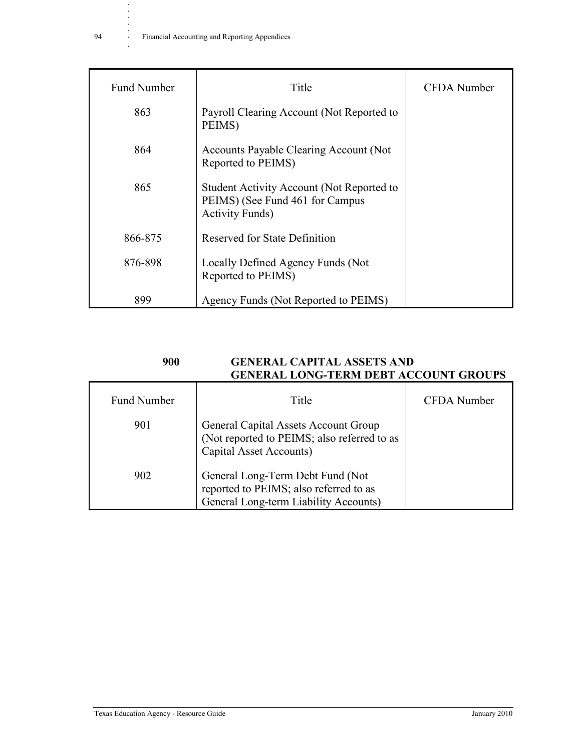| <b>Fund Number</b> | Title                                                                                                   | <b>CFDA</b> Number |
|--------------------|---------------------------------------------------------------------------------------------------------|--------------------|
| 863                | Payroll Clearing Account (Not Reported to<br>PEIMS)                                                     |                    |
| 864                | Accounts Payable Clearing Account (Not)<br>Reported to PEIMS)                                           |                    |
| 865                | Student Activity Account (Not Reported to<br>PEIMS) (See Fund 461 for Campus<br><b>Activity Funds</b> ) |                    |
| 866-875            | Reserved for State Definition                                                                           |                    |
| 876-898            | Locally Defined Agency Funds (Not<br>Reported to PEIMS)                                                 |                    |
| 899                | Agency Funds (Not Reported to PEIMS)                                                                    |                    |

| 900                | <b>GENERAL CAPITAL ASSETS AND</b><br><b>GENERAL LONG-TERM DEBT ACCOUNT GROUPS</b> |             |
|--------------------|-----------------------------------------------------------------------------------|-------------|
| <b>Fund Number</b> | Title                                                                             | CFDA Number |

| Fund Number | Title                                                                                                               | CFDA Number |
|-------------|---------------------------------------------------------------------------------------------------------------------|-------------|
| 901         | General Capital Assets Account Group<br>(Not reported to PEIMS; also referred to as<br>Capital Asset Accounts)      |             |
| 902         | General Long-Term Debt Fund (Not<br>reported to PEIMS; also referred to as<br>General Long-term Liability Accounts) |             |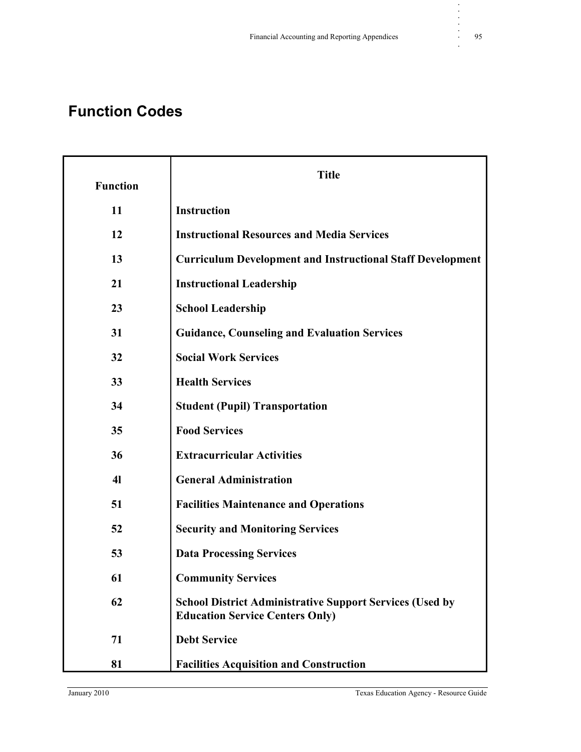### **Function Codes**

| <b>Function</b> | <b>Title</b>                                                                                              |
|-----------------|-----------------------------------------------------------------------------------------------------------|
| 11              | <b>Instruction</b>                                                                                        |
| 12              | <b>Instructional Resources and Media Services</b>                                                         |
| 13              | <b>Curriculum Development and Instructional Staff Development</b>                                         |
| 21              | <b>Instructional Leadership</b>                                                                           |
| 23              | <b>School Leadership</b>                                                                                  |
| 31              | <b>Guidance, Counseling and Evaluation Services</b>                                                       |
| 32              | <b>Social Work Services</b>                                                                               |
| 33              | <b>Health Services</b>                                                                                    |
| 34              | <b>Student (Pupil) Transportation</b>                                                                     |
| 35              | <b>Food Services</b>                                                                                      |
| 36              | <b>Extracurricular Activities</b>                                                                         |
| 4 <sub>l</sub>  | <b>General Administration</b>                                                                             |
| 51              | <b>Facilities Maintenance and Operations</b>                                                              |
| 52              | <b>Security and Monitoring Services</b>                                                                   |
| 53              | <b>Data Processing Services</b>                                                                           |
| 61              | <b>Community Services</b>                                                                                 |
| 62              | <b>School District Administrative Support Services (Used by</b><br><b>Education Service Centers Only)</b> |
| 71              | <b>Debt Service</b>                                                                                       |
| 81              | <b>Facilities Acquisition and Construction</b>                                                            |

**. . . . .**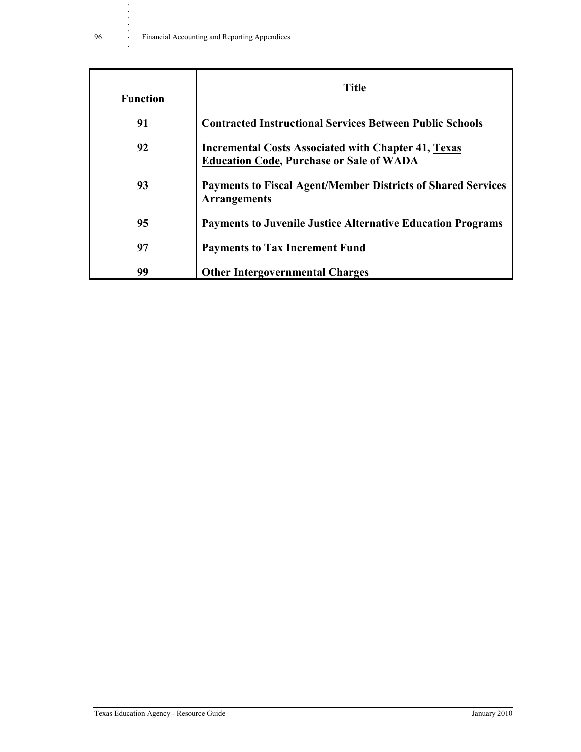| <b>Function</b> | <b>Title</b>                                                                                                  |
|-----------------|---------------------------------------------------------------------------------------------------------------|
| 91              | <b>Contracted Instructional Services Between Public Schools</b>                                               |
| 92              | <b>Incremental Costs Associated with Chapter 41, Texas</b><br><b>Education Code, Purchase or Sale of WADA</b> |
| 93              | <b>Payments to Fiscal Agent/Member Districts of Shared Services</b><br><b>Arrangements</b>                    |
| 95              | <b>Payments to Juvenile Justice Alternative Education Programs</b>                                            |
| 97              | <b>Payments to Tax Increment Fund</b>                                                                         |
| 99              | <b>Other Intergovernmental Charges</b>                                                                        |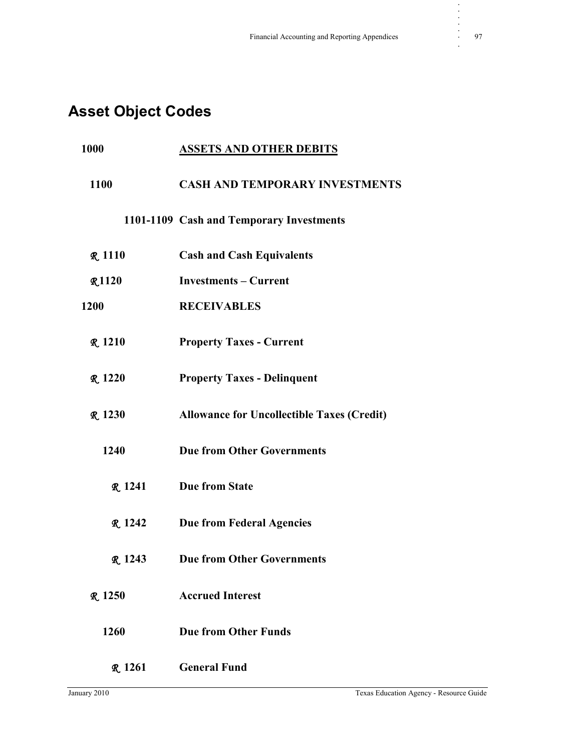## **Asset Object Codes**

| 1000           | <u>ASSETS AND OTHER DEBITS</u>                    |
|----------------|---------------------------------------------------|
| 1100           | <b>CASH AND TEMPORARY INVESTMENTS</b>             |
|                | 1101-1109 Cash and Temporary Investments          |
| <b>R</b> 1110  | <b>Cash and Cash Equivalents</b>                  |
| <b>R1120</b>   | <b>Investments – Current</b>                      |
| 1200           | <b>RECEIVABLES</b>                                |
| <b>R</b> 1210  | <b>Property Taxes - Current</b>                   |
| <b>R.</b> 1220 | <b>Property Taxes - Delinquent</b>                |
| <b>R</b> 1230  | <b>Allowance for Uncollectible Taxes (Credit)</b> |
| 1240           | <b>Due from Other Governments</b>                 |
| <b>R.</b> 1241 | <b>Due from State</b>                             |
| <b>R.</b> 1242 | <b>Due from Federal Agencies</b>                  |
| <b>R</b> 1243  | <b>Due from Other Governments</b>                 |
| <b>R</b> 1250  | <b>Accrued Interest</b>                           |
| 1260           | <b>Due from Other Funds</b>                       |
| <b>R</b> 1261  | <b>General Fund</b>                               |

**. . . . .**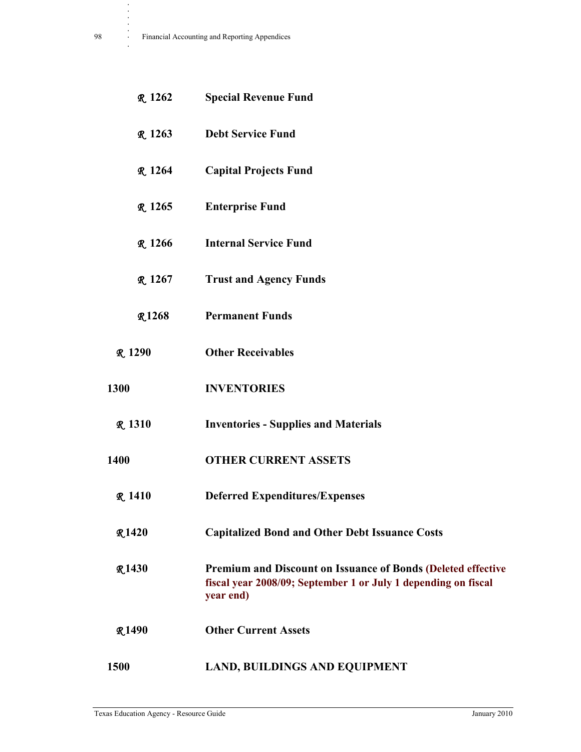| <b>R</b> 1262  | <b>Special Revenue Fund</b>                                                                                                                        |
|----------------|----------------------------------------------------------------------------------------------------------------------------------------------------|
| <b>R</b> 1263  | <b>Debt Service Fund</b>                                                                                                                           |
| <b>R</b> 1264  | <b>Capital Projects Fund</b>                                                                                                                       |
| <b>R</b> 1265  | <b>Enterprise Fund</b>                                                                                                                             |
| <b>R</b> 1266  | <b>Internal Service Fund</b>                                                                                                                       |
| <b>R.</b> 1267 | <b>Trust and Agency Funds</b>                                                                                                                      |
| <b>R1268</b>   | <b>Permanent Funds</b>                                                                                                                             |
| <b>R</b> 1290  | <b>Other Receivables</b>                                                                                                                           |
| 1300           | <b>INVENTORIES</b>                                                                                                                                 |
| <b>R</b> 1310  | <b>Inventories - Supplies and Materials</b>                                                                                                        |
| 1400           | <b>OTHER CURRENT ASSETS</b>                                                                                                                        |
| R.1410         | <b>Deferred Expenditures/Expenses</b>                                                                                                              |
| <b>R1420</b>   | <b>Capitalized Bond and Other Debt Issuance Costs</b>                                                                                              |
| <b>R1430</b>   | <b>Premium and Discount on Issuance of Bonds (Deleted effective</b><br>fiscal year 2008/09; September 1 or July 1 depending on fiscal<br>year end) |
| <b>R1490</b>   | <b>Other Current Assets</b>                                                                                                                        |
| 1500           | <b>LAND, BUILDINGS AND EQUIPMENT</b>                                                                                                               |

**. . . .**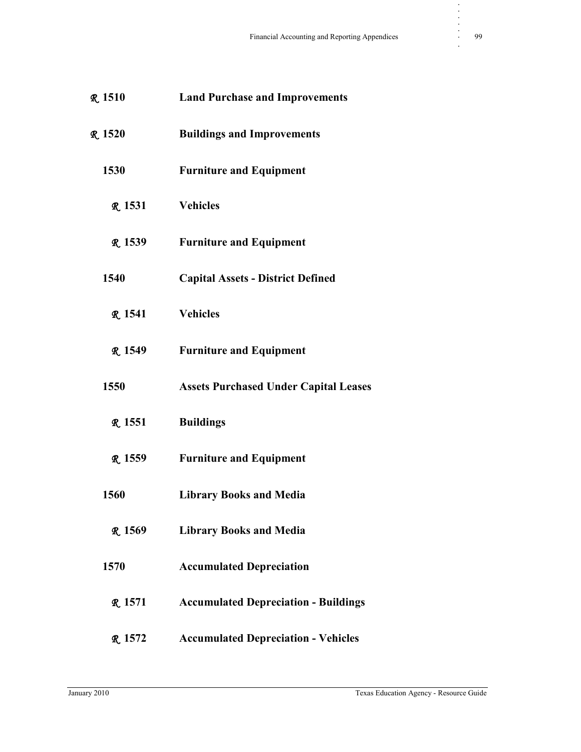| <b>R</b> 1510  | <b>Land Purchase and Improvements</b>        |
|----------------|----------------------------------------------|
| <b>R</b> 1520  | <b>Buildings and Improvements</b>            |
| 1530           | <b>Furniture and Equipment</b>               |
| <b>R</b> 1531  | <b>Vehicles</b>                              |
| R 1539         | <b>Furniture and Equipment</b>               |
| 1540           | <b>Capital Assets - District Defined</b>     |
| <b>R.</b> 1541 | <b>Vehicles</b>                              |
| <b>R</b> 1549  | <b>Furniture and Equipment</b>               |
| 1550           | <b>Assets Purchased Under Capital Leases</b> |
| <b>R</b> 1551  | <b>Buildings</b>                             |
| R 1559         | <b>Furniture and Equipment</b>               |
| 1560           | <b>Library Books and Media</b>               |
| <b>R</b> 1569  | <b>Library Books and Media</b>               |
| 1570           | <b>Accumulated Depreciation</b>              |
| <b>R</b> 1571  | <b>Accumulated Depreciation - Buildings</b>  |
|                |                                              |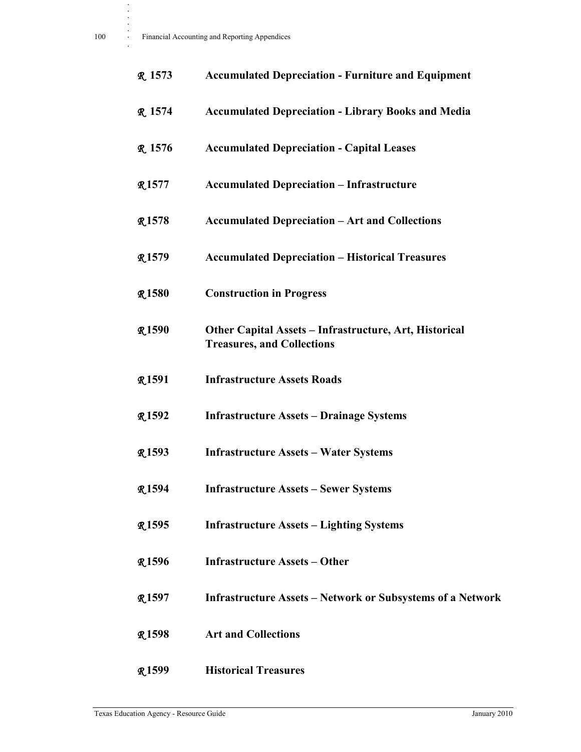| R 1573        | <b>Accumulated Depreciation - Furniture and Equipment</b>                                   |
|---------------|---------------------------------------------------------------------------------------------|
| <b>R</b> 1574 | <b>Accumulated Depreciation - Library Books and Media</b>                                   |
| <b>R</b> 1576 | <b>Accumulated Depreciation - Capital Leases</b>                                            |
| <b>R1577</b>  | <b>Accumulated Depreciation - Infrastructure</b>                                            |
| <b>R1578</b>  | <b>Accumulated Depreciation – Art and Collections</b>                                       |
| $R_{.}1579$   | <b>Accumulated Depreciation - Historical Treasures</b>                                      |
| <b>R1580</b>  | <b>Construction in Progress</b>                                                             |
| <b>R1590</b>  | Other Capital Assets - Infrastructure, Art, Historical<br><b>Treasures, and Collections</b> |
| <b>R1591</b>  | <b>Infrastructure Assets Roads</b>                                                          |
| <b>R1592</b>  | <b>Infrastructure Assets – Drainage Systems</b>                                             |
| <b>R1593</b>  | <b>Infrastructure Assets - Water Systems</b>                                                |
| <b>R1594</b>  | <b>Infrastructure Assets - Sewer Systems</b>                                                |
| <b>R1595</b>  | <b>Infrastructure Assets – Lighting Systems</b>                                             |
| <b>R1596</b>  | <b>Infrastructure Assets – Other</b>                                                        |
| <b>R1597</b>  | <b>Infrastructure Assets – Network or Subsystems of a Network</b>                           |
| <b>R1598</b>  | <b>Art and Collections</b>                                                                  |
| <b>R1599</b>  | <b>Historical Treasures</b>                                                                 |

**. . . .**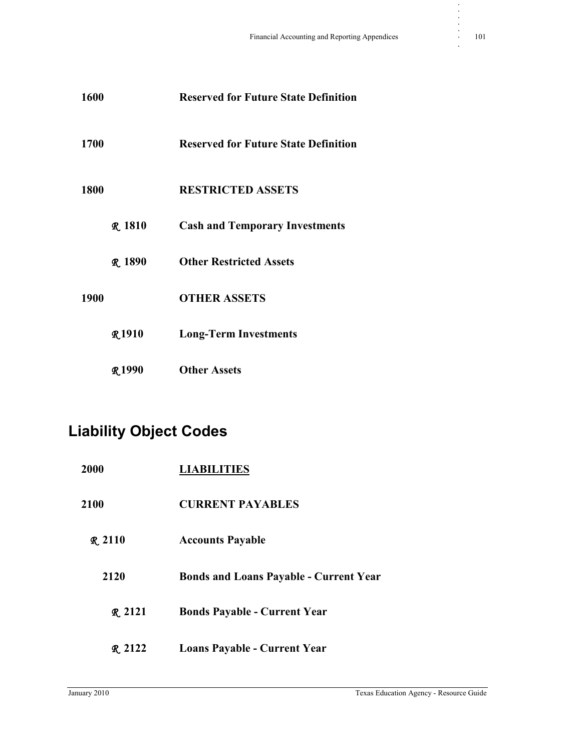| 1600        |                | <b>Reserved for Future State Definition</b> |
|-------------|----------------|---------------------------------------------|
| 1700        |                | <b>Reserved for Future State Definition</b> |
| <b>1800</b> |                | <b>RESTRICTED ASSETS</b>                    |
|             | <b>R</b> 1810  | <b>Cash and Temporary Investments</b>       |
|             | <b>R.</b> 1890 | <b>Other Restricted Assets</b>              |
| 1900        |                | <b>OTHER ASSETS</b>                         |
|             | <b>R1910</b>   | <b>Long-Term Investments</b>                |
|             | <b>R1990</b>   | <b>Other Assets</b>                         |

## **Liability Object Codes**

| <b>2000</b>  | <b>LIABILITIES</b>                            |
|--------------|-----------------------------------------------|
| 2100         | <b>CURRENT PAYABLES</b>                       |
| R.2110       | <b>Accounts Payable</b>                       |
| 2120         | <b>Bonds and Loans Payable - Current Year</b> |
| R.2121       | <b>Bonds Payable - Current Year</b>           |
| $R_{.} 2122$ | <b>Loans Payable - Current Year</b>           |

**. . . . .**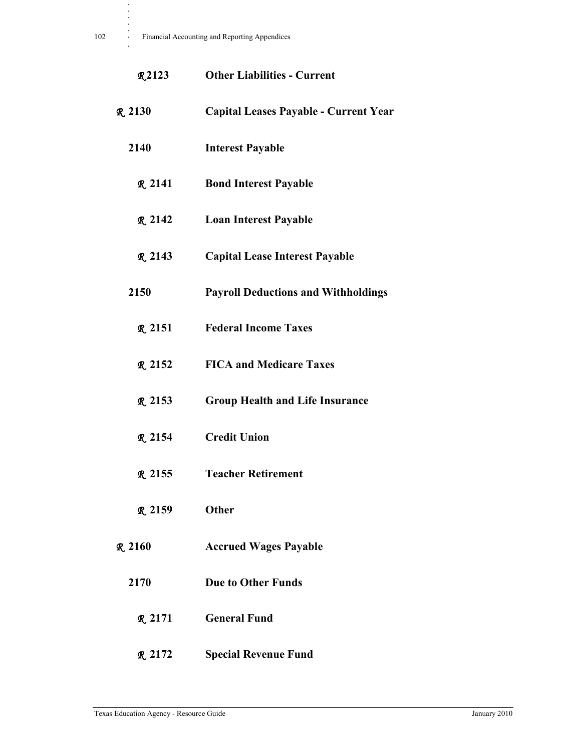**. . . .**

| <b>R2123</b>   | <b>Other Liabilities - Current</b>         |
|----------------|--------------------------------------------|
| <b>R.</b> 2130 | Capital Leases Payable - Current Year      |
| 2140           | <b>Interest Payable</b>                    |
| <b>R.</b> 2141 | <b>Bond Interest Payable</b>               |
| $R_{2142}$     | <b>Loan Interest Payable</b>               |
| R.2143         | <b>Capital Lease Interest Payable</b>      |
| 2150           | <b>Payroll Deductions and Withholdings</b> |
| <b>R</b> 2151  | <b>Federal Income Taxes</b>                |
| <b>R.</b> 2152 | <b>FICA and Medicare Taxes</b>             |
| <b>R</b> 2153  | <b>Group Health and Life Insurance</b>     |
| <b>R</b> 2154  | <b>Credit Union</b>                        |
| <b>R.</b> 2155 | <b>Teacher Retirement</b>                  |
| <b>R</b> 2159  | Other                                      |
| R.2160         | <b>Accrued Wages Payable</b>               |
| 2170           | <b>Due to Other Funds</b>                  |
| R.2171         | <b>General Fund</b>                        |
| <b>R</b> 2172  | <b>Special Revenue Fund</b>                |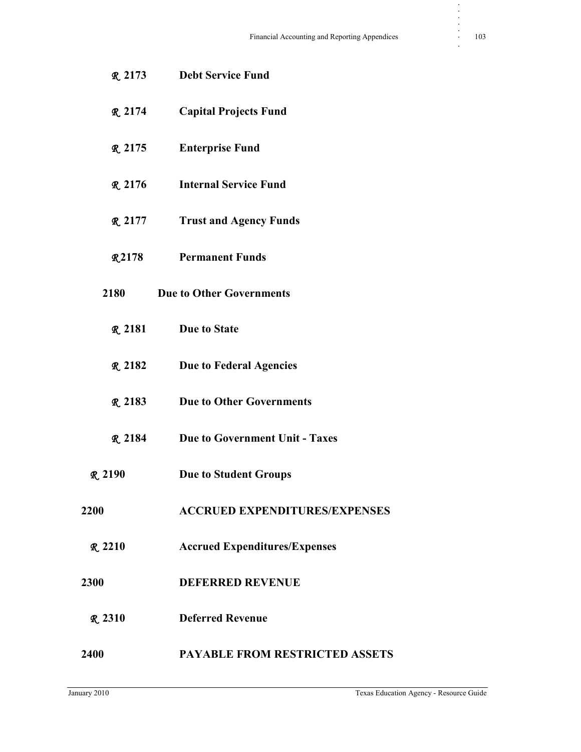R **2173 Debt Service Fund** R **2174 Capital Projects Fund** R **2175 Enterprise Fund** R **2176 Internal Service Fund** R **2177 Trust and Agency Funds** R **2178 Permanent Funds 2180 Due to Other Governments** R **2181 Due to State** R **2182 Due to Federal Agencies** R **2183 Due to Other Governments** R **2184 Due to Government Unit - Taxes** R **2190 Due to Student Groups 2200 ACCRUED EXPENDITURES/EXPENSES** R **2210 Accrued Expenditures/Expenses 2300 DEFERRED REVENUE** R **2310 Deferred Revenue 2400 PAYABLE FROM RESTRICTED ASSETS** **. . . . .**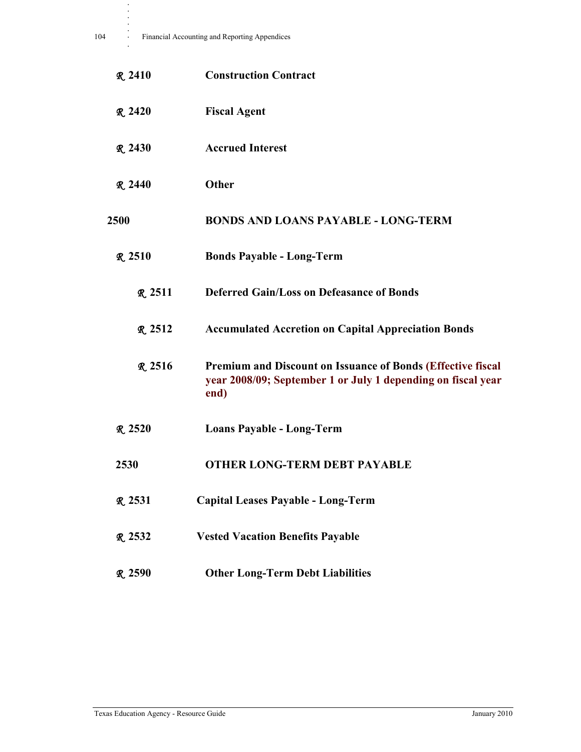| <b>R</b> 2410  | <b>Construction Contract</b>                                                                                                               |
|----------------|--------------------------------------------------------------------------------------------------------------------------------------------|
| $R_{2420}$     | <b>Fiscal Agent</b>                                                                                                                        |
| <b>R.</b> 2430 | <b>Accrued Interest</b>                                                                                                                    |
| $R_{.} 2440$   | Other                                                                                                                                      |
| <b>2500</b>    | <b>BONDS AND LOANS PAYABLE - LONG-TERM</b>                                                                                                 |
| R.2510         | <b>Bonds Payable - Long-Term</b>                                                                                                           |
| R.2511         | <b>Deferred Gain/Loss on Defeasance of Bonds</b>                                                                                           |
| <b>R.</b> 2512 | <b>Accumulated Accretion on Capital Appreciation Bonds</b>                                                                                 |
| <b>R</b> 2516  | <b>Premium and Discount on Issuance of Bonds (Effective fiscal</b><br>year 2008/09; September 1 or July 1 depending on fiscal year<br>end) |
| <b>R</b> 2520  | <b>Loans Payable - Long-Term</b>                                                                                                           |
| 2530           | <b>OTHER LONG-TERM DEBT PAYABLE</b>                                                                                                        |
| <b>R</b> 2531  | Capital Leases Payable - Long-Term                                                                                                         |
| <b>R.</b> 2532 | <b>Vested Vacation Benefits Payable</b>                                                                                                    |
| <b>R</b> 2590  | <b>Other Long-Term Debt Liabilities</b>                                                                                                    |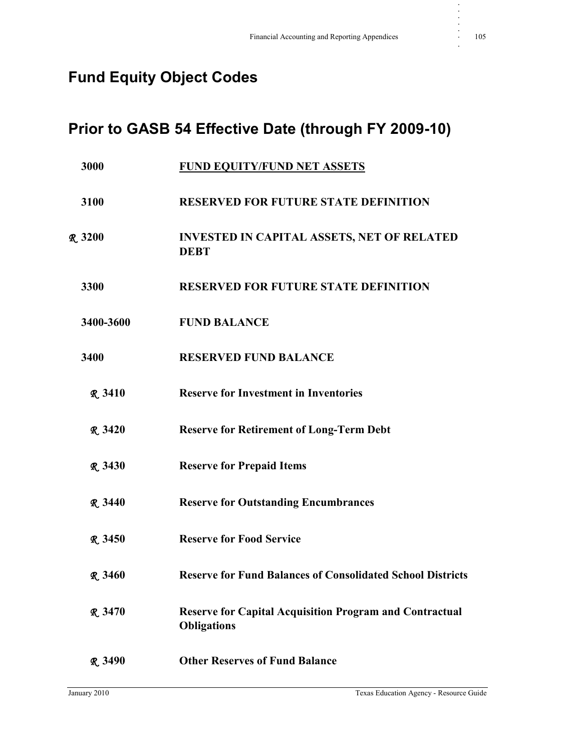## **Fund Equity Object Codes**

### **Prior to GASB 54 Effective Date (through FY 2009-10)**

| 3000           | <b>FUND EQUITY/FUND NET ASSETS</b>                                                   |
|----------------|--------------------------------------------------------------------------------------|
| 3100           | <b>RESERVED FOR FUTURE STATE DEFINITION</b>                                          |
| <b>R</b> 3200  | <b>INVESTED IN CAPITAL ASSETS, NET OF RELATED</b><br><b>DEBT</b>                     |
| 3300           | <b>RESERVED FOR FUTURE STATE DEFINITION</b>                                          |
| 3400-3600      | <b>FUND BALANCE</b>                                                                  |
| 3400           | <b>RESERVED FUND BALANCE</b>                                                         |
| <b>R</b> 3410  | <b>Reserve for Investment in Inventories</b>                                         |
| <b>R</b> 3420  | <b>Reserve for Retirement of Long-Term Debt</b>                                      |
| R.3430         | <b>Reserve for Prepaid Items</b>                                                     |
| <b>R.</b> 3440 | <b>Reserve for Outstanding Encumbrances</b>                                          |
| <b>R</b> 3450  | <b>Reserve for Food Service</b>                                                      |
| R.3460         | <b>Reserve for Fund Balances of Consolidated School Districts</b>                    |
| R.3470         | <b>Reserve for Capital Acquisition Program and Contractual</b><br><b>Obligations</b> |
| <b>R</b> 3490  | <b>Other Reserves of Fund Balance</b>                                                |

**. . . . .**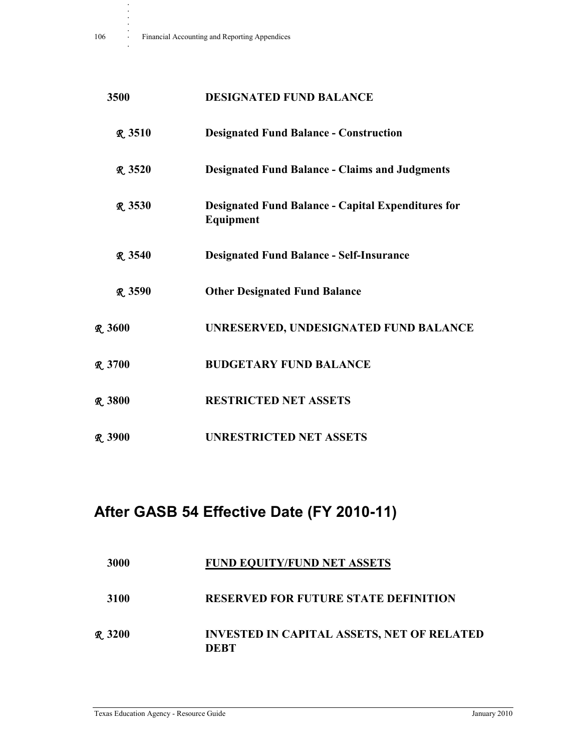**.**

| 3500           | <b>DESIGNATED FUND BALANCE</b>                                         |
|----------------|------------------------------------------------------------------------|
| <b>R</b> 3510  | <b>Designated Fund Balance - Construction</b>                          |
| <b>R</b> 3520  | <b>Designated Fund Balance - Claims and Judgments</b>                  |
| <b>R.</b> 3530 | <b>Designated Fund Balance - Capital Expenditures for</b><br>Equipment |
| <b>R</b> 3540  | <b>Designated Fund Balance - Self-Insurance</b>                        |
| <b>R</b> 3590  | <b>Other Designated Fund Balance</b>                                   |
| <b>R.3600</b>  | UNRESERVED, UNDESIGNATED FUND BALANCE                                  |
| <b>R</b> 3700  | <b>BUDGETARY FUND BALANCE</b>                                          |
| <b>R</b> 3800  | <b>RESTRICTED NET ASSETS</b>                                           |
| <b>R</b> 3900  | <b>UNRESTRICTED NET ASSETS</b>                                         |

# **After GASB 54 Effective Date (FY 2010-11)**

| 3000         | <b>FUND EQUITY/FUND NET ASSETS</b>                        |
|--------------|-----------------------------------------------------------|
| 3100         | <b>RESERVED FOR FUTURE STATE DEFINITION</b>               |
| $R_{.} 3200$ | <b>INVESTED IN CAPITAL ASSETS, NET OF RELATED</b><br>DEBT |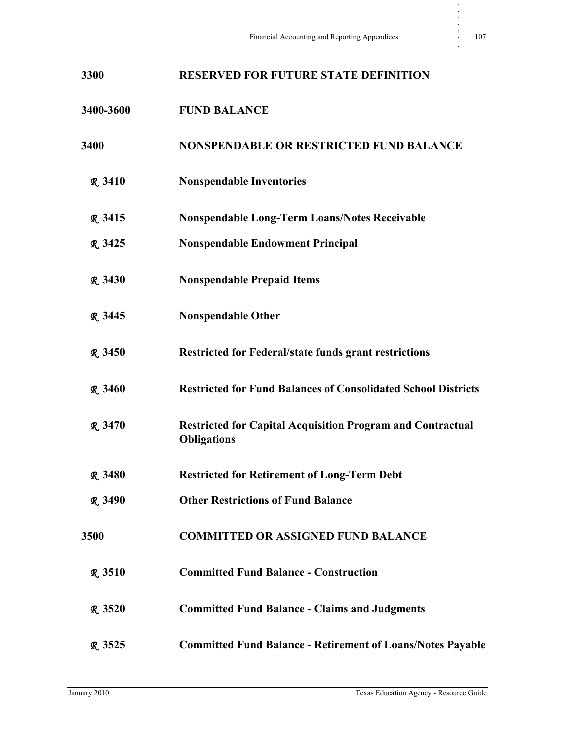| 3300           | <b>RESERVED FOR FUTURE STATE DEFINITION</b>                                             |
|----------------|-----------------------------------------------------------------------------------------|
| 3400-3600      | <b>FUND BALANCE</b>                                                                     |
| 3400           | <b>NONSPENDABLE OR RESTRICTED FUND BALANCE</b>                                          |
| <b>R</b> 3410  | <b>Nonspendable Inventories</b>                                                         |
| <b>R</b> 3415  | <b>Nonspendable Long-Term Loans/Notes Receivable</b>                                    |
| <b>R</b> 3425  | <b>Nonspendable Endowment Principal</b>                                                 |
| <b>R</b> 3430  | <b>Nonspendable Prepaid Items</b>                                                       |
| R. 3445        | <b>Nonspendable Other</b>                                                               |
| <b>R.</b> 3450 | <b>Restricted for Federal/state funds grant restrictions</b>                            |
| <b>R.</b> 3460 | <b>Restricted for Fund Balances of Consolidated School Districts</b>                    |
| <b>R</b> 3470  | <b>Restricted for Capital Acquisition Program and Contractual</b><br><b>Obligations</b> |
| <b>R</b> 3480  | <b>Restricted for Retirement of Long-Term Debt</b>                                      |
| <b>R.</b> 3490 | <b>Other Restrictions of Fund Balance</b>                                               |
| 3500           | <b>COMMITTED OR ASSIGNED FUND BALANCE</b>                                               |
| <b>R</b> 3510  | <b>Committed Fund Balance - Construction</b>                                            |
| R.3520         | <b>Committed Fund Balance - Claims and Judgments</b>                                    |
| R 3525         | <b>Committed Fund Balance - Retirement of Loans/Notes Payable</b>                       |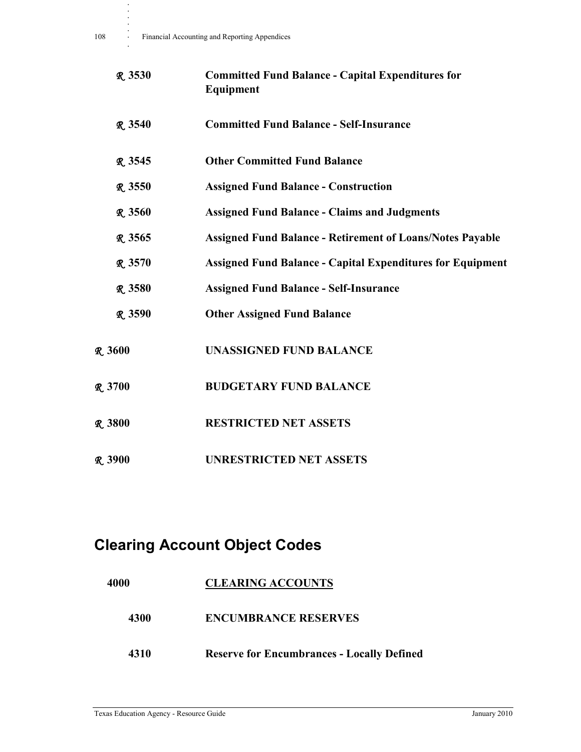| <b>R.</b> 3530 | <b>Committed Fund Balance - Capital Expenditures for</b><br>Equipment |
|----------------|-----------------------------------------------------------------------|
| <b>R.</b> 3540 | <b>Committed Fund Balance - Self-Insurance</b>                        |
| R. 3545        | <b>Other Committed Fund Balance</b>                                   |
| R.3550         | <b>Assigned Fund Balance - Construction</b>                           |
| <b>R</b> 3560  | <b>Assigned Fund Balance - Claims and Judgments</b>                   |
| R.3565         | <b>Assigned Fund Balance - Retirement of Loans/Notes Payable</b>      |
| <b>R</b> 3570  | <b>Assigned Fund Balance - Capital Expenditures for Equipment</b>     |
| R.3580         | <b>Assigned Fund Balance - Self-Insurance</b>                         |
| <b>R.</b> 3590 | <b>Other Assigned Fund Balance</b>                                    |
| <b>R.</b> 3600 | <b>UNASSIGNED FUND BALANCE</b>                                        |
| <b>R</b> 3700  | <b>BUDGETARY FUND BALANCE</b>                                         |
| <b>R</b> 3800  | <b>RESTRICTED NET ASSETS</b>                                          |
| R.3900         | <b>UNRESTRICTED NET ASSETS</b>                                        |

## **Clearing Account Object Codes**

| 4000 | <b>CLEARING ACCOUNTS</b>                          |
|------|---------------------------------------------------|
| 4300 | <b>ENCUMBRANCE RESERVES</b>                       |
| 4310 | <b>Reserve for Encumbrances - Locally Defined</b> |

**. . . . .**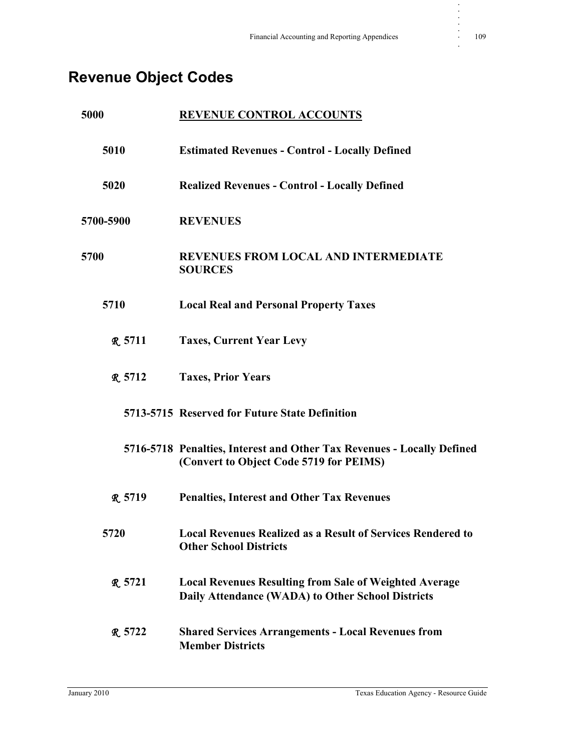# **Revenue Object Codes**

| 5000 |                | <b>REVENUE CONTROL ACCOUNTS</b>                                                                                    |
|------|----------------|--------------------------------------------------------------------------------------------------------------------|
|      | 5010           | <b>Estimated Revenues - Control - Locally Defined</b>                                                              |
|      | 5020           | <b>Realized Revenues - Control - Locally Defined</b>                                                               |
|      | 5700-5900      | <b>REVENUES</b>                                                                                                    |
| 5700 |                | <b>REVENUES FROM LOCAL AND INTERMEDIATE</b><br><b>SOURCES</b>                                                      |
|      | 5710           | <b>Local Real and Personal Property Taxes</b>                                                                      |
|      | R.5711         | <b>Taxes, Current Year Levy</b>                                                                                    |
|      | <b>R.5712</b>  | <b>Taxes, Prior Years</b>                                                                                          |
|      |                | 5713-5715 Reserved for Future State Definition                                                                     |
|      |                | 5716-5718 Penalties, Interest and Other Tax Revenues - Locally Defined<br>(Convert to Object Code 5719 for PEIMS)  |
|      | <b>R</b> 5719  | <b>Penalties, Interest and Other Tax Revenues</b>                                                                  |
|      | 5720           | <b>Local Revenues Realized as a Result of Services Rendered to</b><br><b>Other School Districts</b>                |
|      | <b>R.</b> 5721 | <b>Local Revenues Resulting from Sale of Weighted Average</b><br>Daily Attendance (WADA) to Other School Districts |
|      | <b>R.5722</b>  | <b>Shared Services Arrangements - Local Revenues from</b><br><b>Member Districts</b>                               |

**. . . . .**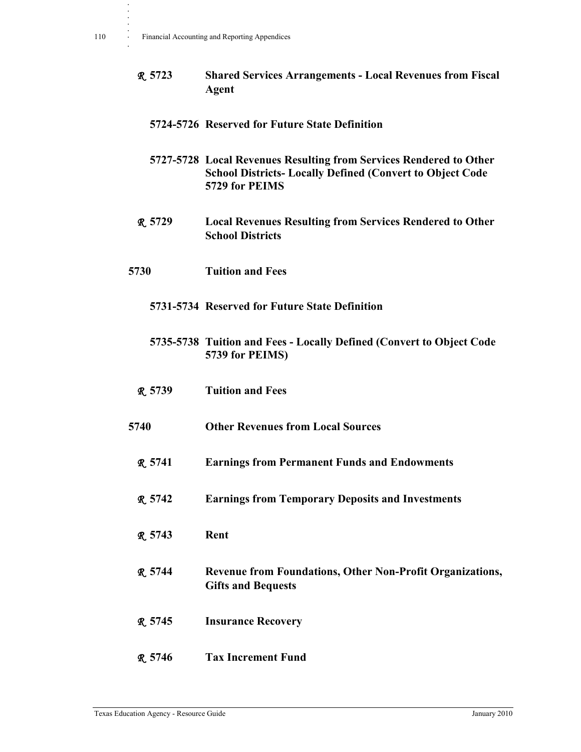R **5723 Shared Services Arrangements - Local Revenues from Fiscal Agent**

#### **5724-5726 Reserved for Future State Definition**

- **5727-5728 Local Revenues Resulting from Services Rendered to Other School Districts- Locally Defined (Convert to Object Code 5729 for PEIMS**
- R **5729 Local Revenues Resulting from Services Rendered to Other School Districts**
- **5730 Tuition and Fees**

#### **5731-5734 Reserved for Future State Definition**

- **5735-5738 Tuition and Fees Locally Defined (Convert to Object Code 5739 for PEIMS)**
- R **5739 Tuition and Fees**
- **5740 Other Revenues from Local Sources**
	- R **5741 Earnings from Permanent Funds and Endowments**
	- R **5742 Earnings from Temporary Deposits and Investments**
	- R **5743 Rent**
	- R **5744 Revenue from Foundations, Other Non-Profit Organizations, Gifts and Bequests**
	- R **5745 Insurance Recovery**
	- R **5746 Tax Increment Fund**

**. . . . .**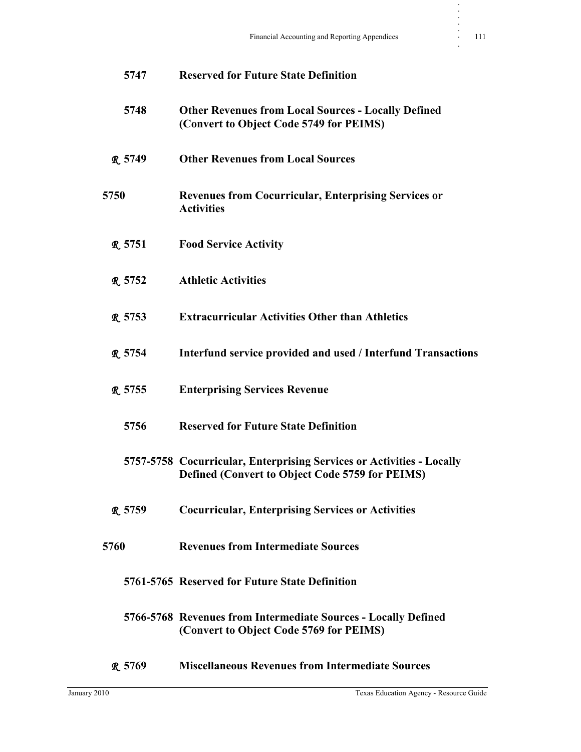|                | 5747 | <b>Reserved for Future State Definition</b>                                                                                     |
|----------------|------|---------------------------------------------------------------------------------------------------------------------------------|
|                | 5748 | <b>Other Revenues from Local Sources - Locally Defined</b><br>(Convert to Object Code 5749 for PEIMS)                           |
| <b>R.</b> 5749 |      | <b>Other Revenues from Local Sources</b>                                                                                        |
| 5750           |      | <b>Revenues from Cocurricular, Enterprising Services or</b><br><b>Activities</b>                                                |
| R.5751         |      | <b>Food Service Activity</b>                                                                                                    |
| R.5752         |      | <b>Athletic Activities</b>                                                                                                      |
| <b>R</b> 5753  |      | <b>Extracurricular Activities Other than Athletics</b>                                                                          |
| <b>R.</b> 5754 |      | Interfund service provided and used / Interfund Transactions                                                                    |
| <b>R</b> 5755  |      | <b>Enterprising Services Revenue</b>                                                                                            |
|                | 5756 | <b>Reserved for Future State Definition</b>                                                                                     |
|                |      | 5757-5758 Cocurricular, Enterprising Services or Activities - Locally<br><b>Defined (Convert to Object Code 5759 for PEIMS)</b> |
| R 5759         |      | <b>Cocurricular, Enterprising Services or Activities</b>                                                                        |
| 5760           |      | <b>Revenues from Intermediate Sources</b>                                                                                       |
|                |      | 5761-5765 Reserved for Future State Definition                                                                                  |
|                |      | 5766-5768 Revenues from Intermediate Sources - Locally Defined<br>(Convert to Object Code 5769 for PEIMS)                       |
| R 5769         |      | <b>Miscellaneous Revenues from Intermediate Sources</b>                                                                         |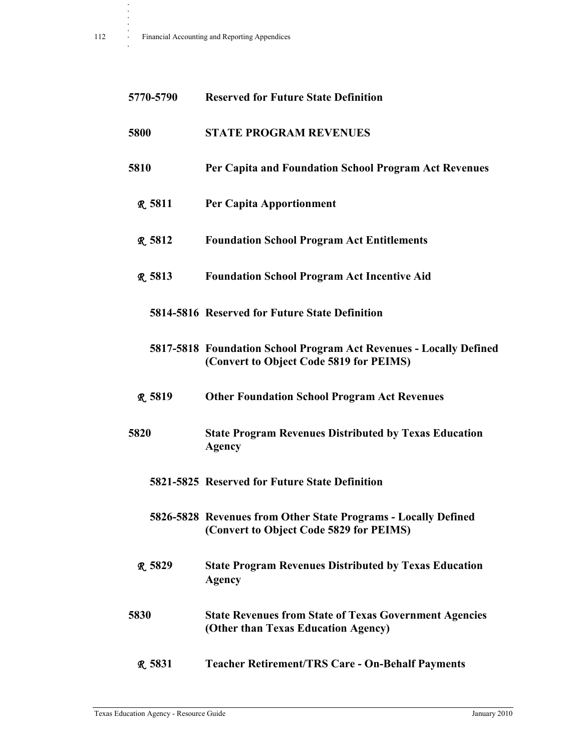| 5770-5790     | <b>Reserved for Future State Definition</b>                                                                   |
|---------------|---------------------------------------------------------------------------------------------------------------|
| 5800          | <b>STATE PROGRAM REVENUES</b>                                                                                 |
| 5810          | Per Capita and Foundation School Program Act Revenues                                                         |
| <b>R.5811</b> | <b>Per Capita Apportionment</b>                                                                               |
| <b>R</b> 5812 | <b>Foundation School Program Act Entitlements</b>                                                             |
| R 5813        | <b>Foundation School Program Act Incentive Aid</b>                                                            |
|               | 5814-5816 Reserved for Future State Definition                                                                |
|               | 5817-5818 Foundation School Program Act Revenues - Locally Defined<br>(Convert to Object Code 5819 for PEIMS) |
| <b>R</b> 5819 | <b>Other Foundation School Program Act Revenues</b>                                                           |
| 5820          | <b>State Program Revenues Distributed by Texas Education</b><br><b>Agency</b>                                 |
|               | 5821-5825 Reserved for Future State Definition                                                                |
|               | 5826-5828 Revenues from Other State Programs - Locally Defined<br>(Convert to Object Code 5829 for PEIMS)     |
| R 5829        | <b>State Program Revenues Distributed by Texas Education</b><br><b>Agency</b>                                 |
| 5830          | <b>State Revenues from State of Texas Government Agencies</b><br>(Other than Texas Education Agency)          |
| <b>R.5831</b> | <b>Teacher Retirement/TRS Care - On-Behalf Payments</b>                                                       |

**. . . .**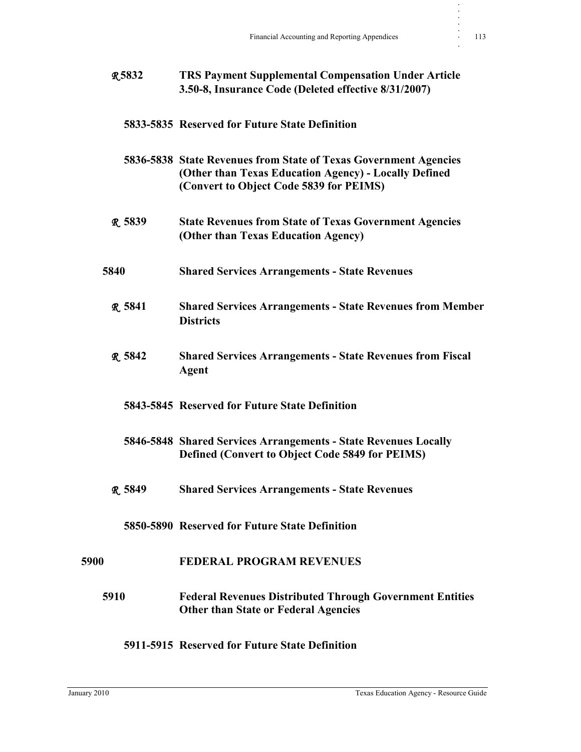| <b>R5832</b>  | <b>TRS Payment Supplemental Compensation Under Article</b><br>3.50-8, Insurance Code (Deleted effective 8/31/2007)                                                   |
|---------------|----------------------------------------------------------------------------------------------------------------------------------------------------------------------|
|               | 5833-5835 Reserved for Future State Definition                                                                                                                       |
|               | 5836-5838 State Revenues from State of Texas Government Agencies<br>(Other than Texas Education Agency) - Locally Defined<br>(Convert to Object Code 5839 for PEIMS) |
| R 5839        | <b>State Revenues from State of Texas Government Agencies</b><br>(Other than Texas Education Agency)                                                                 |
| 5840          | <b>Shared Services Arrangements - State Revenues</b>                                                                                                                 |
| <b>R.5841</b> | <b>Shared Services Arrangements - State Revenues from Member</b><br><b>Districts</b>                                                                                 |
| <b>R</b> 5842 | <b>Shared Services Arrangements - State Revenues from Fiscal</b><br>Agent                                                                                            |
|               | 5843-5845 Reserved for Future State Definition                                                                                                                       |
|               | 5846-5848 Shared Services Arrangements - State Revenues Locally<br><b>Defined (Convert to Object Code 5849 for PEIMS)</b>                                            |
| R.5849        | <b>Shared Services Arrangements - State Revenues</b>                                                                                                                 |
|               | 5850-5890 Reserved for Future State Definition                                                                                                                       |
| 5900          | <b>FEDERAL PROGRAM REVENUES</b>                                                                                                                                      |
| 5910          | <b>Federal Revenues Distributed Through Government Entities</b><br><b>Other than State or Federal Agencies</b>                                                       |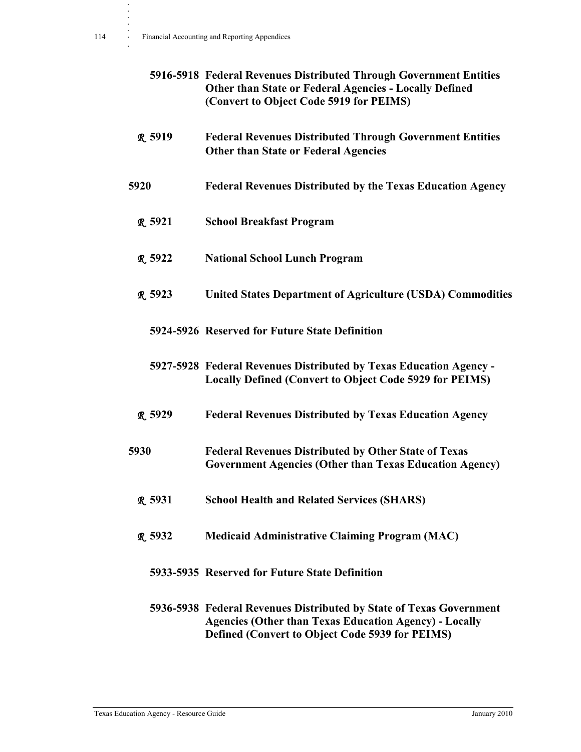|                | 5916-5918 Federal Revenues Distributed Through Government Entities<br><b>Other than State or Federal Agencies - Locally Defined</b><br>(Convert to Object Code 5919 for PEIMS)          |
|----------------|-----------------------------------------------------------------------------------------------------------------------------------------------------------------------------------------|
| <b>R.5919</b>  | <b>Federal Revenues Distributed Through Government Entities</b><br><b>Other than State or Federal Agencies</b>                                                                          |
| 5920           | <b>Federal Revenues Distributed by the Texas Education Agency</b>                                                                                                                       |
| <b>R.</b> 5921 | <b>School Breakfast Program</b>                                                                                                                                                         |
| R. 5922        | <b>National School Lunch Program</b>                                                                                                                                                    |
| <b>R.</b> 5923 | <b>United States Department of Agriculture (USDA) Commodities</b>                                                                                                                       |
|                | 5924-5926 Reserved for Future State Definition                                                                                                                                          |
|                | 5927-5928 Federal Revenues Distributed by Texas Education Agency -<br><b>Locally Defined (Convert to Object Code 5929 for PEIMS)</b>                                                    |
| R. 5929        | <b>Federal Revenues Distributed by Texas Education Agency</b>                                                                                                                           |
| 5930           | <b>Federal Revenues Distributed by Other State of Texas</b><br><b>Government Agencies (Other than Texas Education Agency)</b>                                                           |
| <b>R</b> 5931  | <b>School Health and Related Services (SHARS)</b>                                                                                                                                       |
| R 5932         | <b>Medicaid Administrative Claiming Program (MAC)</b>                                                                                                                                   |
|                | 5933-5935 Reserved for Future State Definition                                                                                                                                          |
|                | 5936-5938 Federal Revenues Distributed by State of Texas Government<br><b>Agencies (Other than Texas Education Agency) - Locally</b><br>Defined (Convert to Object Code 5939 for PEIMS) |

**. . . .**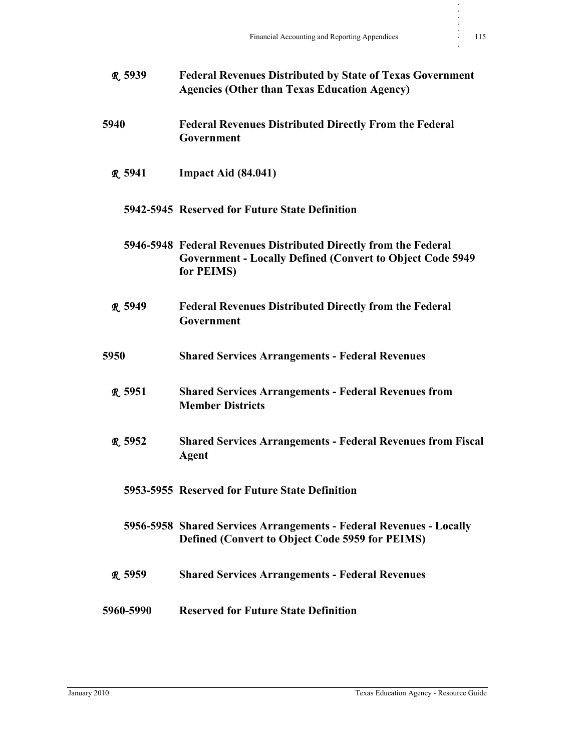| <b>R</b> 5939  | <b>Federal Revenues Distributed by State of Texas Government</b><br><b>Agencies (Other than Texas Education Agency)</b>                             |
|----------------|-----------------------------------------------------------------------------------------------------------------------------------------------------|
| 5940           | <b>Federal Revenues Distributed Directly From the Federal</b><br>Government                                                                         |
| <b>R.</b> 5941 | Impact Aid (84.041)                                                                                                                                 |
|                | 5942-5945 Reserved for Future State Definition                                                                                                      |
|                | 5946-5948 Federal Revenues Distributed Directly from the Federal<br><b>Government - Locally Defined (Convert to Object Code 5949)</b><br>for PEIMS) |
| R. 5949        | <b>Federal Revenues Distributed Directly from the Federal</b><br>Government                                                                         |
| 5950           | <b>Shared Services Arrangements - Federal Revenues</b>                                                                                              |
| <b>R.5951</b>  | <b>Shared Services Arrangements - Federal Revenues from</b><br><b>Member Districts</b>                                                              |
| <b>R.</b> 5952 | <b>Shared Services Arrangements - Federal Revenues from Fiscal</b><br><b>Agent</b>                                                                  |
|                | 5953-5955 Reserved for Future State Definition                                                                                                      |
|                | 5956-5958 Shared Services Arrangements - Federal Revenues - Locally<br>Defined (Convert to Object Code 5959 for PEIMS)                              |
| R.5959         | <b>Shared Services Arrangements - Federal Revenues</b>                                                                                              |
| 5960-5990      | <b>Reserved for Future State Definition</b>                                                                                                         |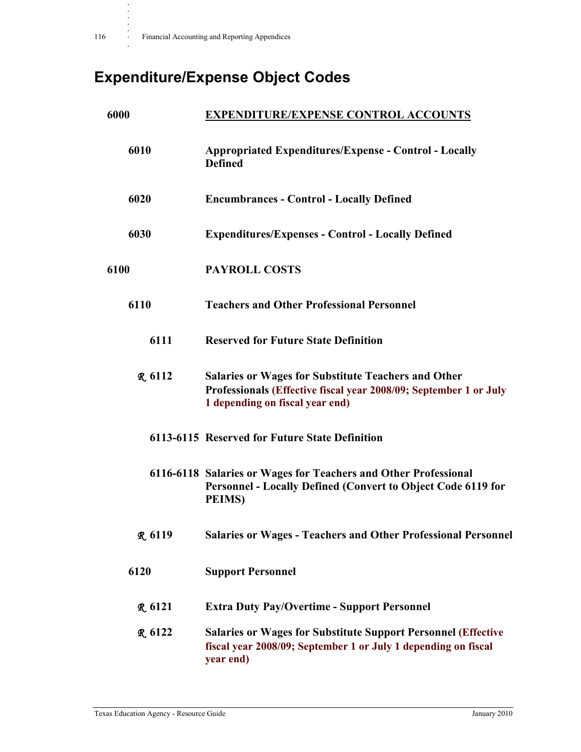**.**

# **Expenditure/Expense Object Codes**

| 6000           | <b>EXPENDITURE/EXPENSE CONTROL ACCOUNTS</b>                                                                                                                        |
|----------------|--------------------------------------------------------------------------------------------------------------------------------------------------------------------|
| 6010           | <b>Appropriated Expenditures/Expense - Control - Locally</b><br><b>Defined</b>                                                                                     |
| 6020           | <b>Encumbrances - Control - Locally Defined</b>                                                                                                                    |
| 6030           | <b>Expenditures/Expenses - Control - Locally Defined</b>                                                                                                           |
| 6100           | <b>PAYROLL COSTS</b>                                                                                                                                               |
| 6110           | <b>Teachers and Other Professional Personnel</b>                                                                                                                   |
| 6111           | <b>Reserved for Future State Definition</b>                                                                                                                        |
| R.6112         | <b>Salaries or Wages for Substitute Teachers and Other</b><br>Professionals (Effective fiscal year 2008/09; September 1 or July<br>1 depending on fiscal year end) |
|                | 6113-6115 Reserved for Future State Definition                                                                                                                     |
|                | 6116-6118 Salaries or Wages for Teachers and Other Professional<br>Personnel - Locally Defined (Convert to Object Code 6119 for<br><b>PEIMS</b> )                  |
| <b>R</b> 6119  | <b>Salaries or Wages - Teachers and Other Professional Personnel</b>                                                                                               |
| 6120           | <b>Support Personnel</b>                                                                                                                                           |
| <b>R.</b> 6121 | <b>Extra Duty Pay/Overtime - Support Personnel</b>                                                                                                                 |
| <b>R.</b> 6122 | <b>Salaries or Wages for Substitute Support Personnel (Effective</b><br>fiscal year 2008/09; September 1 or July 1 depending on fiscal<br>year end)                |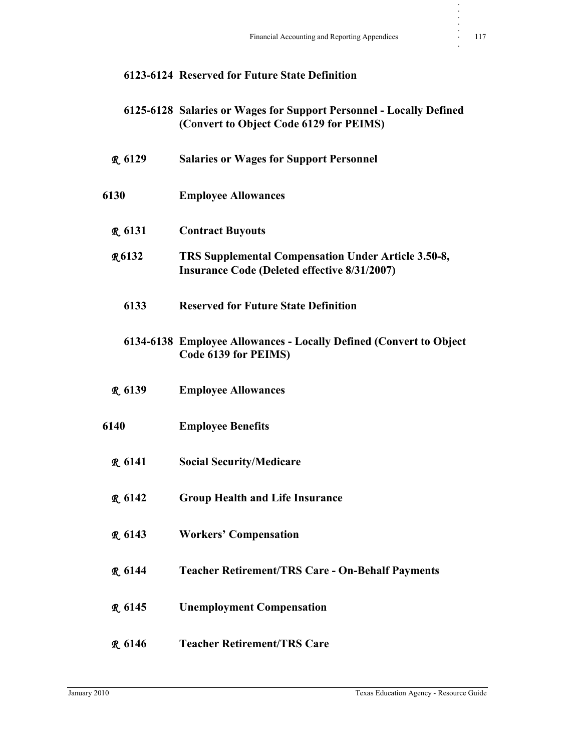|                | 6123-6124 Reserved for Future State Definition                                                                 |
|----------------|----------------------------------------------------------------------------------------------------------------|
|                | 6125-6128 Salaries or Wages for Support Personnel - Locally Defined<br>(Convert to Object Code 6129 for PEIMS) |
| <b>R</b> 6129  | <b>Salaries or Wages for Support Personnel</b>                                                                 |
| 6130           | <b>Employee Allowances</b>                                                                                     |
| R.6131         | <b>Contract Buyouts</b>                                                                                        |
| <b>R6132</b>   | TRS Supplemental Compensation Under Article 3.50-8,<br><b>Insurance Code (Deleted effective 8/31/2007)</b>     |
| 6133           | <b>Reserved for Future State Definition</b>                                                                    |
|                | 6134-6138 Employee Allowances - Locally Defined (Convert to Object<br>Code 6139 for PEIMS)                     |
| <b>R.</b> 6139 | <b>Employee Allowances</b>                                                                                     |
| 6140           | <b>Employee Benefits</b>                                                                                       |
| R.6141         | <b>Social Security/Medicare</b>                                                                                |
| <b>R</b> 6142  | <b>Group Health and Life Insurance</b>                                                                         |
| <b>R.</b> 6143 | <b>Workers' Compensation</b>                                                                                   |
| <b>R</b> 6144  | <b>Teacher Retirement/TRS Care - On-Behalf Payments</b>                                                        |
| <b>R</b> 6145  | <b>Unemployment Compensation</b>                                                                               |
| <b>R</b> 6146  | <b>Teacher Retirement/TRS Care</b>                                                                             |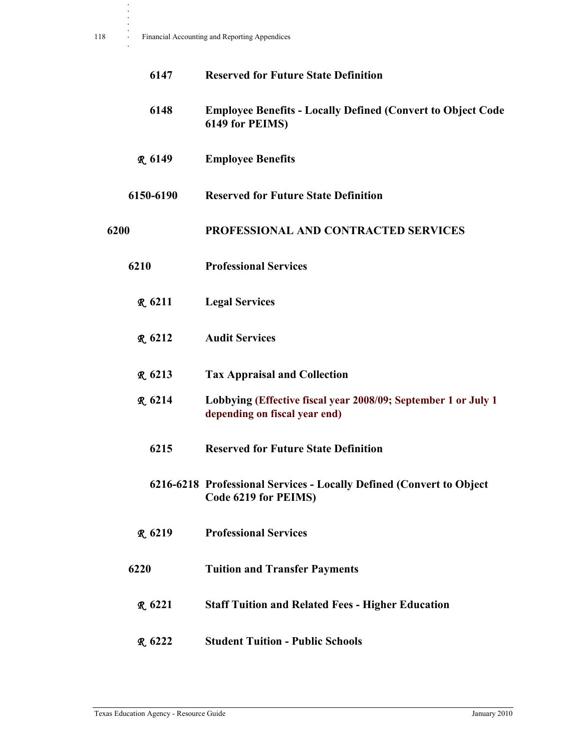| 6147           | <b>Reserved for Future State Definition</b>                                                     |
|----------------|-------------------------------------------------------------------------------------------------|
| 6148           | <b>Employee Benefits - Locally Defined (Convert to Object Code)</b><br>6149 for PEIMS)          |
| <b>R.</b> 6149 | <b>Employee Benefits</b>                                                                        |
| 6150-6190      | <b>Reserved for Future State Definition</b>                                                     |
| 6200           | PROFESSIONAL AND CONTRACTED SERVICES                                                            |
| 6210           | <b>Professional Services</b>                                                                    |
| <b>R</b> 6211  | <b>Legal Services</b>                                                                           |
| <b>R.</b> 6212 | <b>Audit Services</b>                                                                           |
| <b>R</b> 6213  | <b>Tax Appraisal and Collection</b>                                                             |
| <b>R</b> 6214  | Lobbying (Effective fiscal year 2008/09; September 1 or July 1<br>depending on fiscal year end) |
| 6215           | <b>Reserved for Future State Definition</b>                                                     |
|                | 6216-6218 Professional Services - Locally Defined (Convert to Object<br>Code 6219 for PEIMS)    |
| <b>R.</b> 6219 | <b>Professional Services</b>                                                                    |
| 6220           | <b>Tuition and Transfer Payments</b>                                                            |
| <b>R.</b> 6221 | <b>Staff Tuition and Related Fees - Higher Education</b>                                        |
| <b>R</b> 6222  | <b>Student Tuition - Public Schools</b>                                                         |

**. . . .**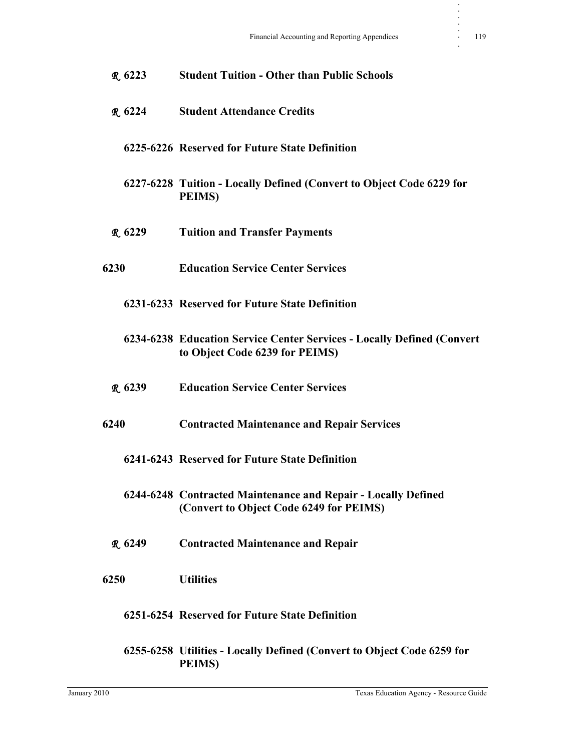| $R_{.}6223$ | <b>Student Tuition - Other than Public Schools</b>                                                       |
|-------------|----------------------------------------------------------------------------------------------------------|
| $R_{.}6224$ | <b>Student Attendance Credits</b>                                                                        |
|             | 6225-6226 Reserved for Future State Definition                                                           |
|             | 6227-6228 Tuition - Locally Defined (Convert to Object Code 6229 for<br><b>PEIMS</b>                     |
| R.6229      | <b>Tuition and Transfer Payments</b>                                                                     |
| 6230        | <b>Education Service Center Services</b>                                                                 |
|             | 6231-6233 Reserved for Future State Definition                                                           |
|             | 6234-6238 Education Service Center Services - Locally Defined (Convert<br>to Object Code 6239 for PEIMS) |
| R.6239      | <b>Education Service Center Services</b>                                                                 |
| 6240        | <b>Contracted Maintenance and Repair Services</b>                                                        |
|             | 6241-6243 Reserved for Future State Definition                                                           |
|             | 6244-6248 Contracted Maintenance and Repair - Locally Defined<br>(Convert to Object Code 6249 for PEIMS) |
| R.6249      | <b>Contracted Maintenance and Repair</b>                                                                 |
| 6250        | <b>Utilities</b>                                                                                         |
|             | 6251-6254 Reserved for Future State Definition                                                           |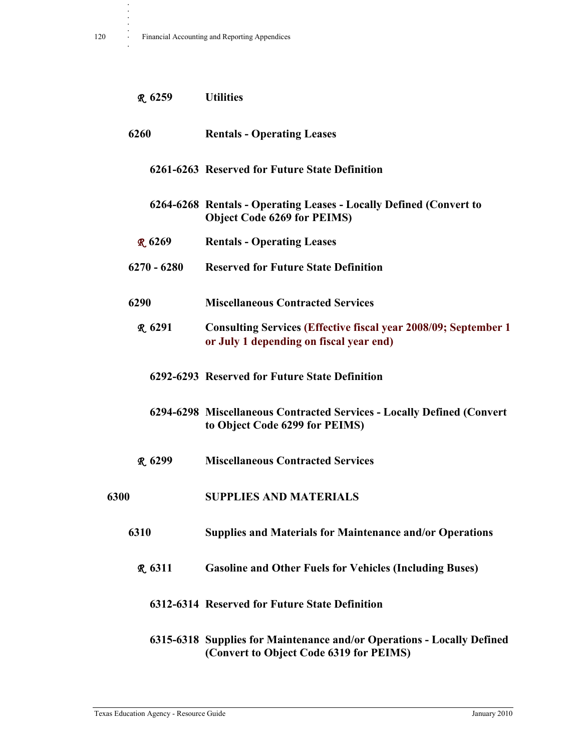**.**

| $R_{.}6259$    | <b>Utilities</b>                                                                                                  |
|----------------|-------------------------------------------------------------------------------------------------------------------|
| 6260           | <b>Rentals - Operating Leases</b>                                                                                 |
|                | 6261-6263 Reserved for Future State Definition                                                                    |
|                | 6264-6268 Rentals - Operating Leases - Locally Defined (Convert to<br><b>Object Code 6269 for PEIMS)</b>          |
| <b>R</b> 6269  | <b>Rentals - Operating Leases</b>                                                                                 |
| $6270 - 6280$  | <b>Reserved for Future State Definition</b>                                                                       |
| 6290           | <b>Miscellaneous Contracted Services</b>                                                                          |
| $R_{.}6291$    | <b>Consulting Services (Effective fiscal year 2008/09; September 1</b><br>or July 1 depending on fiscal year end) |
|                | 6292-6293 Reserved for Future State Definition                                                                    |
|                | 6294-6298 Miscellaneous Contracted Services - Locally Defined (Convert<br>to Object Code 6299 for PEIMS)          |
| <b>R</b> 6299  | <b>Miscellaneous Contracted Services</b>                                                                          |
| 6300           | <b>SUPPLIES AND MATERIALS</b>                                                                                     |
| 6310           | <b>Supplies and Materials for Maintenance and/or Operations</b>                                                   |
| <b>R.</b> 6311 | <b>Gasoline and Other Fuels for Vehicles (Including Buses)</b>                                                    |
|                | 6312-6314 Reserved for Future State Definition                                                                    |
|                | 6315-6318 Supplies for Maintenance and/or Operations - Locally Defined                                            |

Texas Education Agency - Resource Guide January 2010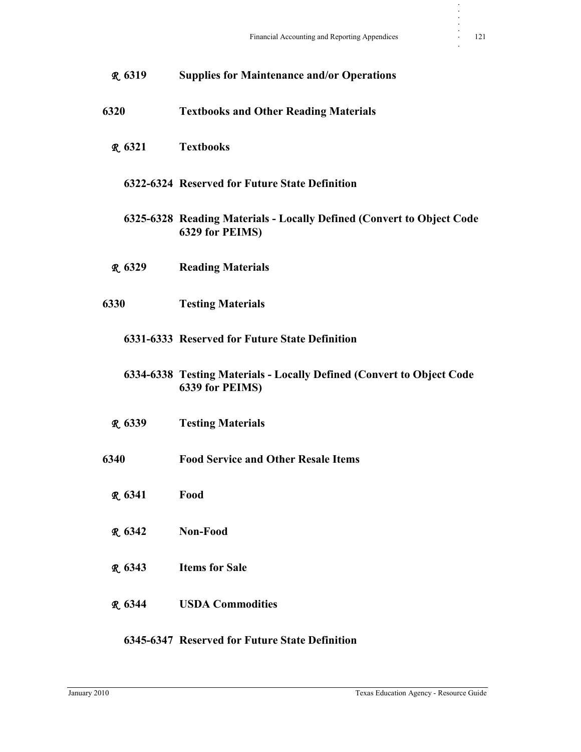| R 6319        | <b>Supplies for Maintenance and/or Operations</b>                                        |
|---------------|------------------------------------------------------------------------------------------|
| 6320          | <b>Textbooks and Other Reading Materials</b>                                             |
| R.6321        | <b>Textbooks</b>                                                                         |
|               | 6322-6324 Reserved for Future State Definition                                           |
|               | 6325-6328 Reading Materials - Locally Defined (Convert to Object Code<br>6329 for PEIMS) |
| R 6329        | <b>Reading Materials</b>                                                                 |
| 6330          | <b>Testing Materials</b>                                                                 |
|               | 6331-6333 Reserved for Future State Definition                                           |
|               | 6334-6338 Testing Materials - Locally Defined (Convert to Object Code<br>6339 for PEIMS) |
| R 6339        | <b>Testing Materials</b>                                                                 |
| 6340          | <b>Food Service and Other Resale Items</b>                                               |
| <b>R</b> 6341 | Food                                                                                     |
| R. 6342       | Non-Food                                                                                 |
| <b>R</b> 6343 | <b>Items for Sale</b>                                                                    |
| <b>R</b> 6344 | <b>USDA Commodities</b>                                                                  |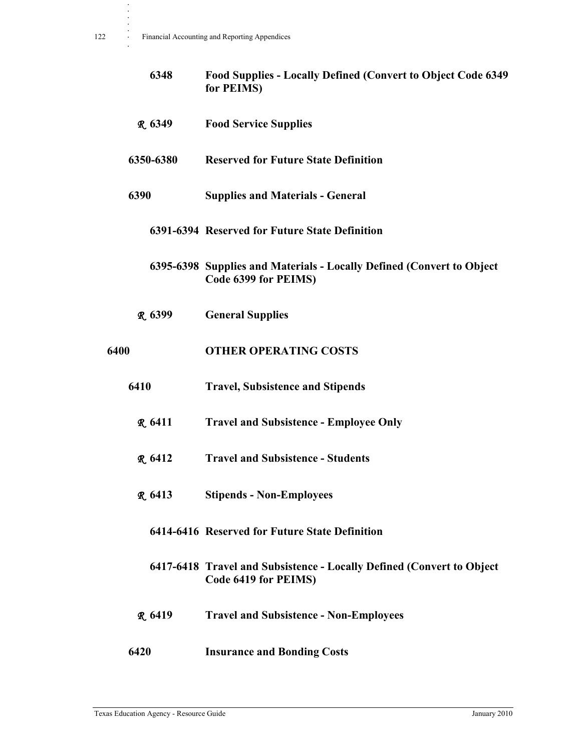**.**

|      | 6348           | <b>Food Supplies - Locally Defined (Convert to Object Code 6349)</b><br>for PEIMS)            |
|------|----------------|-----------------------------------------------------------------------------------------------|
|      | R 6349         | <b>Food Service Supplies</b>                                                                  |
|      | 6350-6380      | <b>Reserved for Future State Definition</b>                                                   |
|      | 6390           | <b>Supplies and Materials - General</b>                                                       |
|      |                | 6391-6394 Reserved for Future State Definition                                                |
|      |                | 6395-6398 Supplies and Materials - Locally Defined (Convert to Object<br>Code 6399 for PEIMS) |
|      | R. 6399        | <b>General Supplies</b>                                                                       |
| 6400 |                | <b>OTHER OPERATING COSTS</b>                                                                  |
|      | 6410           | <b>Travel, Subsistence and Stipends</b>                                                       |
|      | <b>R.</b> 6411 | <b>Travel and Subsistence - Employee Only</b>                                                 |
|      | R.6412         | <b>Travel and Subsistence - Students</b>                                                      |
|      | R.6413         | <b>Stipends - Non-Employees</b>                                                               |
|      |                | 6414-6416 Reserved for Future State Definition                                                |
|      |                | 6417-6418 Travel and Subsistence - Locally Defined (Convert to Object<br>Code 6419 for PEIMS) |
|      | <b>R.</b> 6419 | <b>Travel and Subsistence - Non-Employees</b>                                                 |
|      |                |                                                                                               |

**6420 Insurance and Bonding Costs**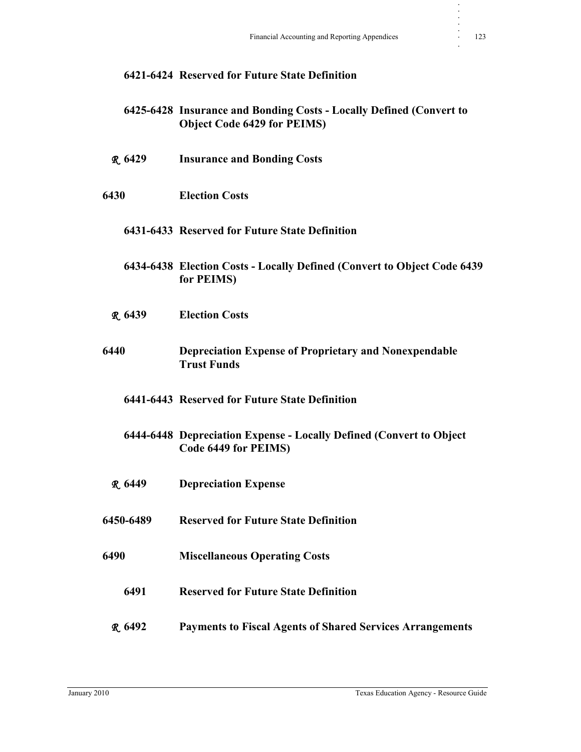|                | 6421-6424 Reserved for Future State Definition                                                            |
|----------------|-----------------------------------------------------------------------------------------------------------|
|                | 6425-6428 Insurance and Bonding Costs - Locally Defined (Convert to<br><b>Object Code 6429 for PEIMS)</b> |
| <b>R.</b> 6429 | <b>Insurance and Bonding Costs</b>                                                                        |
| 6430           | <b>Election Costs</b>                                                                                     |
|                | 6431-6433 Reserved for Future State Definition                                                            |
|                | 6434-6438 Election Costs - Locally Defined (Convert to Object Code 6439<br>for PEIMS)                     |
| R.6439         | <b>Election Costs</b>                                                                                     |
| 6440           | <b>Depreciation Expense of Proprietary and Nonexpendable</b><br><b>Trust Funds</b>                        |
|                | 6441-6443 Reserved for Future State Definition                                                            |
|                | 6444-6448 Depreciation Expense - Locally Defined (Convert to Object<br>Code 6449 for PEIMS)               |
| R.6449         | <b>Depreciation Expense</b>                                                                               |
| 6450-6489      | <b>Reserved for Future State Definition</b>                                                               |
| 6490           | <b>Miscellaneous Operating Costs</b>                                                                      |
| 6491           | <b>Reserved for Future State Definition</b>                                                               |
| <b>R.</b> 6492 | <b>Payments to Fiscal Agents of Shared Services Arrangements</b>                                          |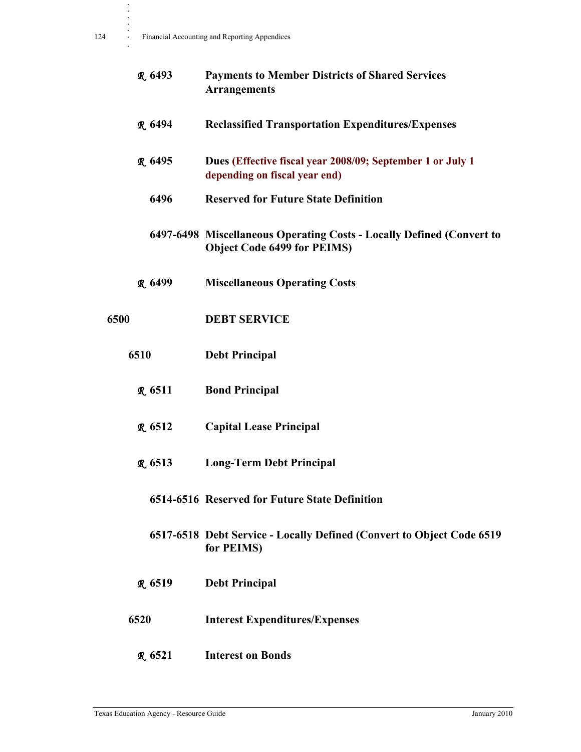**.**

|      | R. 6493             | <b>Payments to Member Districts of Shared Services</b><br><b>Arrangements</b>                               |
|------|---------------------|-------------------------------------------------------------------------------------------------------------|
|      | <b>R.</b> 6494      | <b>Reclassified Transportation Expenditures/Expenses</b>                                                    |
|      | <b>R.</b> 6495      | Dues (Effective fiscal year 2008/09; September 1 or July 1<br>depending on fiscal year end)                 |
|      | 6496                | <b>Reserved for Future State Definition</b>                                                                 |
|      |                     | 6497-6498 Miscellaneous Operating Costs - Locally Defined (Convert to<br><b>Object Code 6499 for PEIMS)</b> |
|      | R <sub>.</sub> 6499 | <b>Miscellaneous Operating Costs</b>                                                                        |
| 6500 |                     | <b>DEBT SERVICE</b>                                                                                         |
|      | 6510                | <b>Debt Principal</b>                                                                                       |
|      | <b>R.</b> 6511      | <b>Bond Principal</b>                                                                                       |
|      | <b>R</b> 6512       | <b>Capital Lease Principal</b>                                                                              |
|      | R.6513              | <b>Long-Term Debt Principal</b>                                                                             |
|      |                     | 6514-6516 Reserved for Future State Definition                                                              |
|      |                     | 6517-6518 Debt Service - Locally Defined (Convert to Object Code 6519<br>for PEIMS)                         |
|      | R 6519              | <b>Debt Principal</b>                                                                                       |
|      | 6520                | <b>Interest Expenditures/Expenses</b>                                                                       |
|      |                     |                                                                                                             |

R **6521 Interest on Bonds**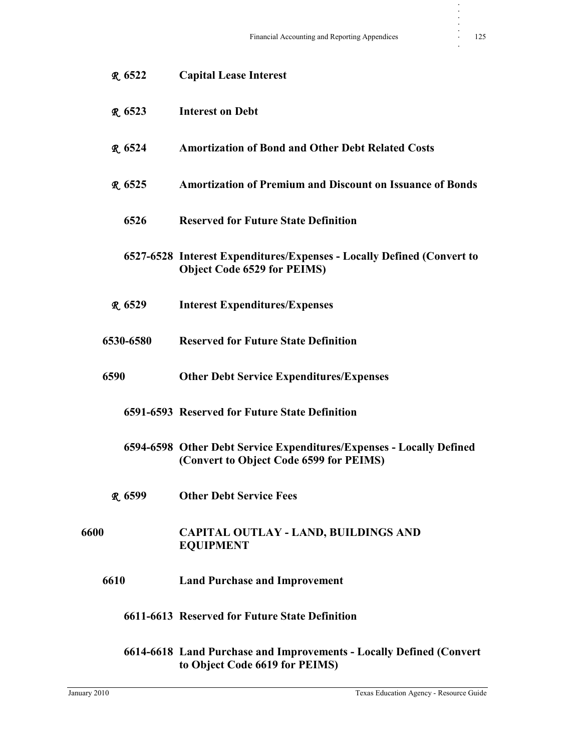| <b>R.</b> 6522    | <b>Capital Lease Interest</b>                                                                                   |
|-------------------|-----------------------------------------------------------------------------------------------------------------|
| R.6523            | <b>Interest on Debt</b>                                                                                         |
| R.6524            | <b>Amortization of Bond and Other Debt Related Costs</b>                                                        |
| R.6525            | <b>Amortization of Premium and Discount on Issuance of Bonds</b>                                                |
| 6526              | <b>Reserved for Future State Definition</b>                                                                     |
|                   | 6527-6528 Interest Expenditures/Expenses - Locally Defined (Convert to<br><b>Object Code 6529 for PEIMS)</b>    |
| R <sub>6529</sub> | <b>Interest Expenditures/Expenses</b>                                                                           |
| 6530-6580         | <b>Reserved for Future State Definition</b>                                                                     |
| 6590              | <b>Other Debt Service Expenditures/Expenses</b>                                                                 |
|                   | 6591-6593 Reserved for Future State Definition                                                                  |
|                   | 6594-6598 Other Debt Service Expenditures/Expenses - Locally Defined<br>(Convert to Object Code 6599 for PEIMS) |
| <b>R</b> 6599     | <b>Other Debt Service Fees</b>                                                                                  |
| 6600              | <b>CAPITAL OUTLAY - LAND, BUILDINGS AND</b><br><b>EQUIPMENT</b>                                                 |
| 6610              | <b>Land Purchase and Improvement</b>                                                                            |
|                   | 6611-6613 Reserved for Future State Definition                                                                  |
|                   | 6614-6618 Land Purchase and Improvements - Locally Defined (Convert<br>to Object Code 6619 for PEIMS)           |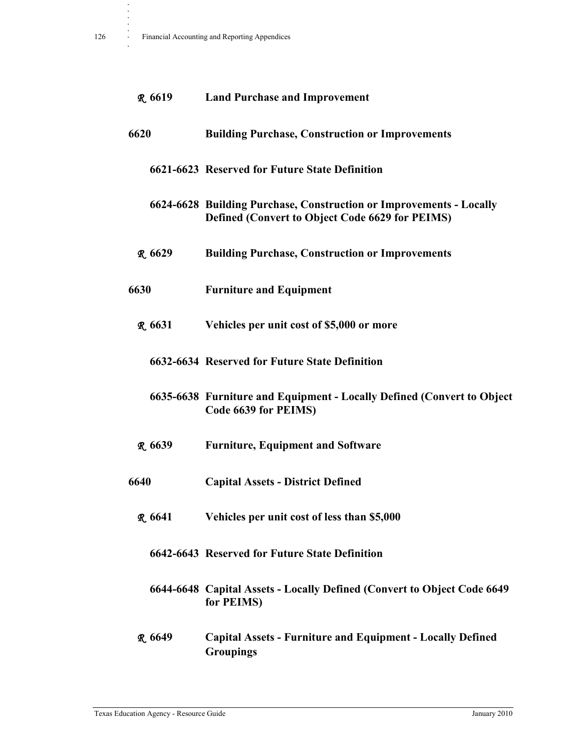| R <sub>6619</sub> | <b>Land Purchase and Improvement</b>                                                                                          |
|-------------------|-------------------------------------------------------------------------------------------------------------------------------|
| 6620              | <b>Building Purchase, Construction or Improvements</b>                                                                        |
|                   | 6621-6623 Reserved for Future State Definition                                                                                |
|                   | 6624-6628 Building Purchase, Construction or Improvements - Locally<br><b>Defined (Convert to Object Code 6629 for PEIMS)</b> |
| R.6629            | <b>Building Purchase, Construction or Improvements</b>                                                                        |
| 6630              | <b>Furniture and Equipment</b>                                                                                                |
| R.6631            | Vehicles per unit cost of \$5,000 or more                                                                                     |
|                   | 6632-6634 Reserved for Future State Definition                                                                                |
|                   | 6635-6638 Furniture and Equipment - Locally Defined (Convert to Object<br>Code 6639 for PEIMS)                                |
| R.6639            | <b>Furniture, Equipment and Software</b>                                                                                      |
| 6640              | <b>Capital Assets - District Defined</b>                                                                                      |
| R 6641            | Vehicles per unit cost of less than \$5,000                                                                                   |
|                   | 6642-6643 Reserved for Future State Definition                                                                                |
|                   | 6644-6648 Capital Assets - Locally Defined (Convert to Object Code 6649)<br>for PEIMS)                                        |
| <b>R</b> 6649     | <b>Capital Assets - Furniture and Equipment - Locally Defined</b><br><b>Groupings</b>                                         |

**. . . .**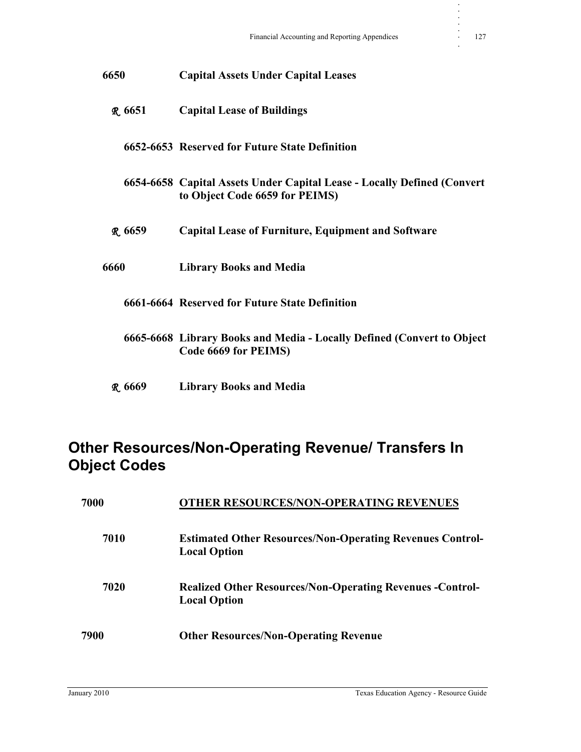| 6650    | <b>Capital Assets Under Capital Leases</b>                                                                |
|---------|-----------------------------------------------------------------------------------------------------------|
| R 6651  | <b>Capital Lease of Buildings</b>                                                                         |
|         | 6652-6653 Reserved for Future State Definition                                                            |
|         | 6654-6658 Capital Assets Under Capital Lease - Locally Defined (Convert<br>to Object Code 6659 for PEIMS) |
| R.6659  | <b>Capital Lease of Furniture, Equipment and Software</b>                                                 |
| 6660    | <b>Library Books and Media</b>                                                                            |
|         | 6661-6664 Reserved for Future State Definition                                                            |
|         | 6665-6668 Library Books and Media - Locally Defined (Convert to Object<br>Code 6669 for PEIMS)            |
| R. 6669 | <b>Library Books and Media</b>                                                                            |

### **Other Resources/Non-Operating Revenue/ Transfers In Object Codes**

| 7000 | <b>OTHER RESOURCES/NON-OPERATING REVENUES</b>                                           |  |
|------|-----------------------------------------------------------------------------------------|--|
| 7010 | <b>Estimated Other Resources/Non-Operating Revenues Control-</b><br><b>Local Option</b> |  |
| 7020 | <b>Realized Other Resources/Non-Operating Revenues -Control-</b><br><b>Local Option</b> |  |
| 7900 | <b>Other Resources/Non-Operating Revenue</b>                                            |  |

**. . . . .**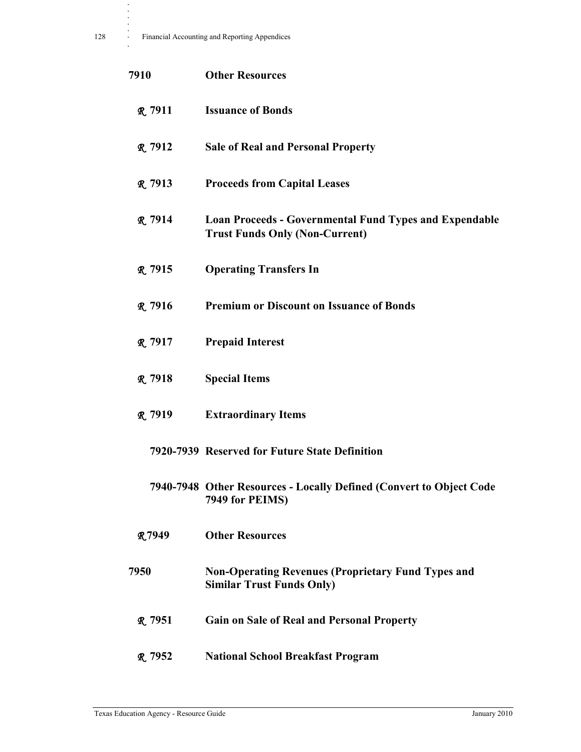| 7910           | <b>Other Resources</b>                                                                                 |
|----------------|--------------------------------------------------------------------------------------------------------|
| <b>R</b> 7911  | <b>Issuance of Bonds</b>                                                                               |
| <b>R.</b> 7912 | <b>Sale of Real and Personal Property</b>                                                              |
| <b>R.</b> 7913 | <b>Proceeds from Capital Leases</b>                                                                    |
| <b>R.</b> 7914 | <b>Loan Proceeds - Governmental Fund Types and Expendable</b><br><b>Trust Funds Only (Non-Current)</b> |
| <b>R</b> 7915  | <b>Operating Transfers In</b>                                                                          |
| <b>R.</b> 7916 | <b>Premium or Discount on Issuance of Bonds</b>                                                        |
| <b>R.</b> 7917 | <b>Prepaid Interest</b>                                                                                |
| <b>R.</b> 7918 | <b>Special Items</b>                                                                                   |
| <b>R.</b> 7919 | <b>Extraordinary Items</b>                                                                             |
|                | 7920-7939 Reserved for Future State Definition                                                         |
|                | 7940-7948 Other Resources - Locally Defined (Convert to Object Code<br>7949 for PEIMS)                 |
| <b>R7949</b>   | <b>Other Resources</b>                                                                                 |
| 7950           | <b>Non-Operating Revenues (Proprietary Fund Types and</b><br><b>Similar Trust Funds Only)</b>          |
| R.7951         | <b>Gain on Sale of Real and Personal Property</b>                                                      |
| <b>R.</b> 7952 | <b>National School Breakfast Program</b>                                                               |

**. . . .**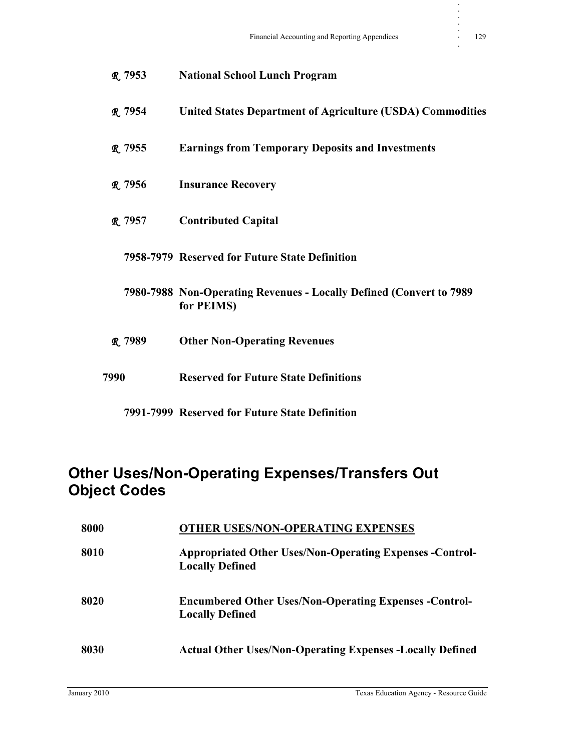| R. 7953        | <b>National School Lunch Program</b>                                              |
|----------------|-----------------------------------------------------------------------------------|
| <b>R.</b> 7954 | <b>United States Department of Agriculture (USDA) Commodities</b>                 |
| <b>R</b> 7955  | <b>Earnings from Temporary Deposits and Investments</b>                           |
| R 7956         | <b>Insurance Recovery</b>                                                         |
| R. 7957        | <b>Contributed Capital</b>                                                        |
|                | 7958-7979 Reserved for Future State Definition                                    |
|                | 7980-7988 Non-Operating Revenues - Locally Defined (Convert to 7989<br>for PEIMS) |
| R. 7989        | <b>Other Non-Operating Revenues</b>                                               |
| 7990           | <b>Reserved for Future State Definitions</b>                                      |
|                |                                                                                   |

**7991-7999 Reserved for Future State Definition**

### **Other Uses/Non-Operating Expenses/Transfers Out Object Codes**

| 8000 | <b>OTHER USES/NON-OPERATING EXPENSES</b>                                                  |
|------|-------------------------------------------------------------------------------------------|
| 8010 | <b>Appropriated Other Uses/Non-Operating Expenses -Control-</b><br><b>Locally Defined</b> |
| 8020 | <b>Encumbered Other Uses/Non-Operating Expenses -Control-</b><br><b>Locally Defined</b>   |
| 8030 | <b>Actual Other Uses/Non-Operating Expenses -Locally Defined</b>                          |

**. . . . .**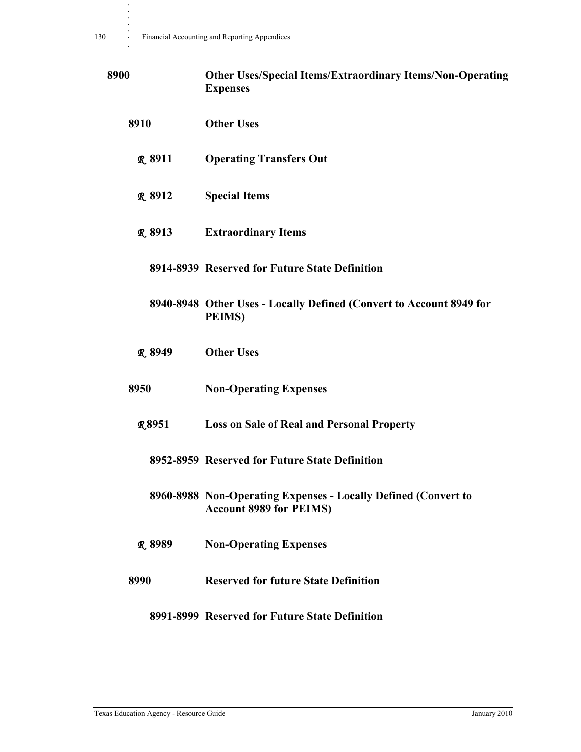| 8900 |                | <b>Other Uses/Special Items/Extraordinary Items/Non-Operating</b><br><b>Expenses</b>             |
|------|----------------|--------------------------------------------------------------------------------------------------|
|      | 8910           | <b>Other Uses</b>                                                                                |
|      | <b>R</b> 8911  | <b>Operating Transfers Out</b>                                                                   |
|      | <b>R.</b> 8912 | <b>Special Items</b>                                                                             |
|      | <b>R</b> 8913  | <b>Extraordinary Items</b>                                                                       |
|      |                | 8914-8939 Reserved for Future State Definition                                                   |
|      |                | 8940-8948 Other Uses - Locally Defined (Convert to Account 8949 for<br><b>PEIMS</b> )            |
|      | <b>R</b> 8949  | <b>Other Uses</b>                                                                                |
|      | 8950           | <b>Non-Operating Expenses</b>                                                                    |
|      | <b>R8951</b>   | <b>Loss on Sale of Real and Personal Property</b>                                                |
|      |                | 8952-8959 Reserved for Future State Definition                                                   |
|      |                | 8960-8988 Non-Operating Expenses - Locally Defined (Convert to<br><b>Account 8989 for PEIMS)</b> |
|      | R 8989         | <b>Non-Operating Expenses</b>                                                                    |
|      | 8990           | <b>Reserved for future State Definition</b>                                                      |
|      |                | 8991-8999 Reserved for Future State Definition                                                   |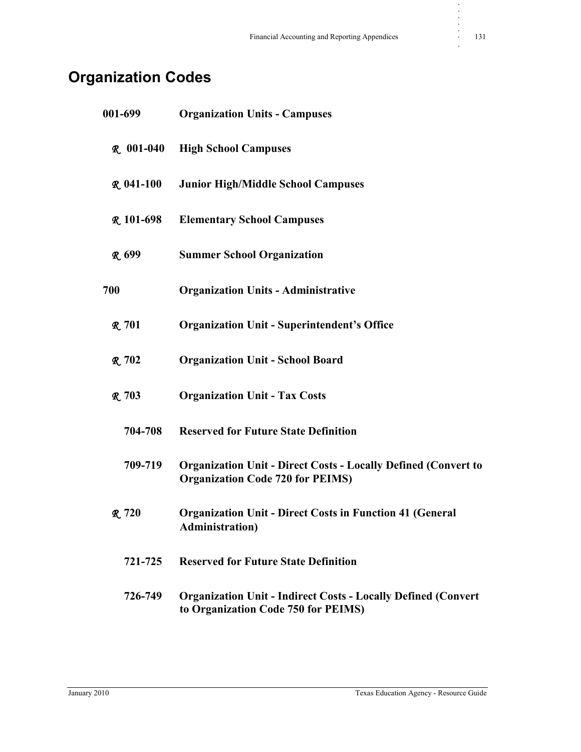# **Organization Codes**

| 001-699          | <b>Organization Units - Campuses</b>                                                                              |
|------------------|-------------------------------------------------------------------------------------------------------------------|
| $R.001-040$      | <b>High School Campuses</b>                                                                                       |
| <b>R</b> 041-100 | <b>Junior High/Middle School Campuses</b>                                                                         |
| <b>R</b> 101-698 | <b>Elementary School Campuses</b>                                                                                 |
| <b>R</b> 699     | <b>Summer School Organization</b>                                                                                 |
| 700              | <b>Organization Units - Administrative</b>                                                                        |
| R.701            | <b>Organization Unit - Superintendent's Office</b>                                                                |
| <b>R.</b> 702    | <b>Organization Unit - School Board</b>                                                                           |
| R.703            | <b>Organization Unit - Tax Costs</b>                                                                              |
| 704-708          | <b>Reserved for Future State Definition</b>                                                                       |
| 709-719          | <b>Organization Unit - Direct Costs - Locally Defined (Convert to</b><br><b>Organization Code 720 for PEIMS</b> ) |
| R.720            | <b>Organization Unit - Direct Costs in Function 41 (General</b><br><b>Administration</b> )                        |
| 721-725          | <b>Reserved for Future State Definition</b>                                                                       |
| 726-749          | <b>Organization Unit - Indirect Costs - Locally Defined (Convert</b><br>to Organization Code 750 for PEIMS)       |

**. . . . .**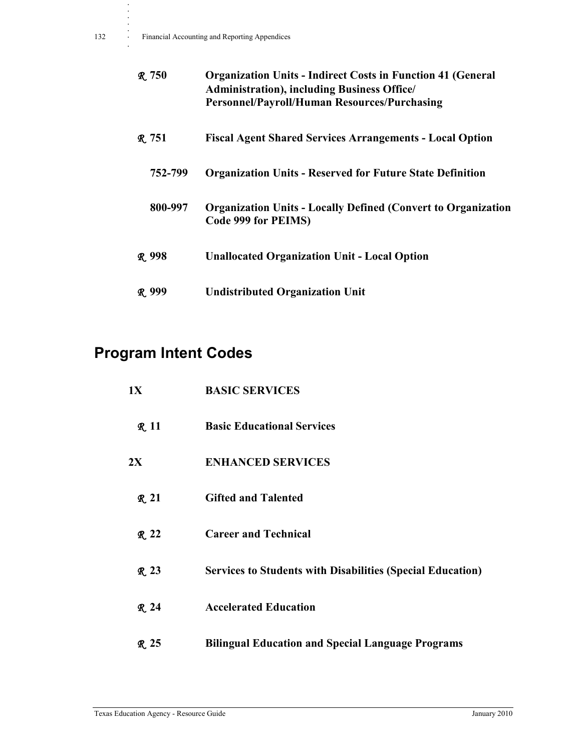| R.750         | <b>Organization Units - Indirect Costs in Function 41 (General</b><br><b>Administration</b> ), including Business Office/<br><b>Personnel/Payroll/Human Resources/Purchasing</b> |
|---------------|----------------------------------------------------------------------------------------------------------------------------------------------------------------------------------|
| R.751         | <b>Fiscal Agent Shared Services Arrangements - Local Option</b>                                                                                                                  |
| 752-799       | <b>Organization Units - Reserved for Future State Definition</b>                                                                                                                 |
| 800-997       | <b>Organization Units - Locally Defined (Convert to Organization)</b><br>Code 999 for PEIMS)                                                                                     |
| <b>R.</b> 998 | <b>Unallocated Organization Unit - Local Option</b>                                                                                                                              |
| R 999         | <b>Undistributed Organization Unit</b>                                                                                                                                           |

# **Program Intent Codes**

| 1X          | <b>BASIC SERVICES</b>                                             |
|-------------|-------------------------------------------------------------------|
| <b>R</b> 11 | <b>Basic Educational Services</b>                                 |
| 2X          | <b>ENHANCED SERVICES</b>                                          |
| <b>R</b> 21 | <b>Gifted and Talented</b>                                        |
| $R_{.} 22$  | <b>Career and Technical</b>                                       |
| <b>R</b> 23 | <b>Services to Students with Disabilities (Special Education)</b> |
| <b>R</b> 24 | <b>Accelerated Education</b>                                      |
| R 25        | <b>Bilingual Education and Special Language Programs</b>          |

**. . . . .**